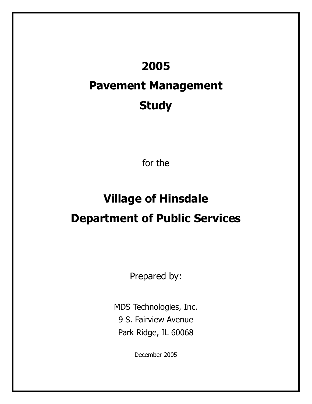## **2005**

## **Pavement Management Study**

for the

# **Village of Hinsdale Department of Public Services**

Prepared by:

MDS Technologies, Inc. 9 S. Fairview Avenue Park Ridge, IL 60068

December 2005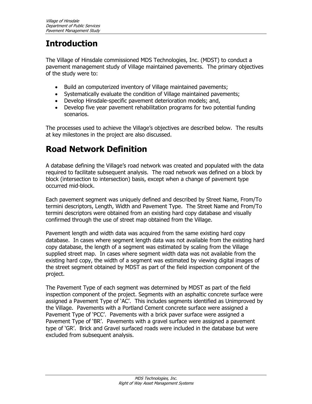## **Introduction**

The Village of Hinsdale commissioned MDS Technologies, Inc. (MDST) to conduct a pavement management study of Village maintained pavements. The primary objectives of the study were to:

- Build an computerized inventory of Village maintained pavements;
- Systematically evaluate the condition of Village maintained pavements;
- Develop Hinsdale-specific pavement deterioration models; and,
- Develop five year pavement rehabilitation programs for two potential funding scenarios.

The processes used to achieve the Village's objectives are described below. The results at key milestones in the project are also discussed.

## **Road Network Definition**

A database defining the Village's road network was created and populated with the data required to facilitate subsequent analysis. The road network was defined on a block by block (intersection to intersection) basis, except when a change of pavement type occurred mid-block.

Each pavement segment was uniquely defined and described by Street Name, From/To termini descriptors, Length, Width and Pavement Type. The Street Name and From/To termini descriptors were obtained from an existing hard copy database and visually confirmed through the use of street map obtained from the Village.

Pavement length and width data was acquired from the same existing hard copy database. In cases where segment length data was not available from the existing hard copy database, the length of a segment was estimated by scaling from the Village supplied street map. In cases where segment width data was not available from the existing hard copy, the width of a segment was estimated by viewing digital images of the street segment obtained by MDST as part of the field inspection component of the project.

The Pavement Type of each segment was determined by MDST as part of the field inspection component of the project. Segments with an asphaltic concrete surface were assigned a Pavement Type of 'AC'. This includes segments identified as Unimproved by the Village. Pavements with a Portland Cement concrete surface were assigned a Pavement Type of 'PCC'. Pavements with a brick paver surface were assigned a Pavement Type of 'BR'. Pavements with a gravel surface were assigned a pavement type of 'GR'. Brick and Gravel surfaced roads were included in the database but were excluded from subsequent analysis.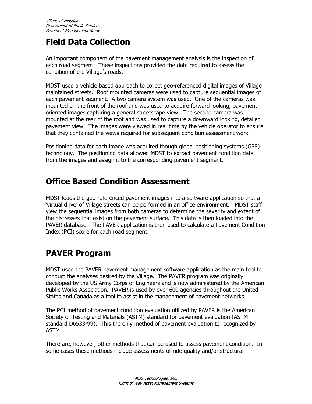### **Field Data Collection**

An important component of the pavement management analysis is the inspection of each road segment. These inspections provided the data required to assess the condition of the Village's roads.

MDST used a vehicle based approach to collect geo-referenced digital images of Village maintained streets. Roof mounted cameras were used to capture sequential images of each pavement segment. A two camera system was used. One of the cameras was mounted on the front of the roof and was used to acquire forward looking, pavement oriented images capturing a general streetscape view. The second camera was mounted at the rear of the roof and was used to capture a downward looking, detailed pavement view. The images were viewed in real time by the vehicle operator to ensure that they contained the views required for subsequent condition assessment work.

Positioning data for each image was acquired though global positioning systems (GPS) technology. The positioning data allowed MDST to extract pavement condition data from the images and assign it to the corresponding pavement segment.

#### **Office Based Condition Assessment**

MDST loads the geo-referenced pavement images into a software application so that a 'virtual drive' of Village streets can be performed in an office environment. MDST staff view the sequential images from both cameras to determine the severity and extent of the distresses that exist on the pavement surface. This data is then loaded into the PAVER database. The PAVER application is then used to calculate a Pavement Condition Index (PCI) score for each road segment.

#### **PAVER Program**

MDST used the PAVER pavement management software application as the main tool to conduct the analyses desired by the Village. The PAVER program was originally developed by the US Army Corps of Engineers and is now administered by the American Public Works Association. PAVER is used by over 600 agencies throughout the United States and Canada as a tool to assist in the management of pavement networks.

The PCI method of pavement condition evaluation utilized by PAVER is the American Society of Testing and Materials (ASTM) standard for pavement evaluation (ASTM standard D6533-99). This the only method of pavement evaluation to recognized by ASTM.

There are, however, other methods that can be used to assess pavement condition. In some cases these methods include assessments of ride quality and/or structural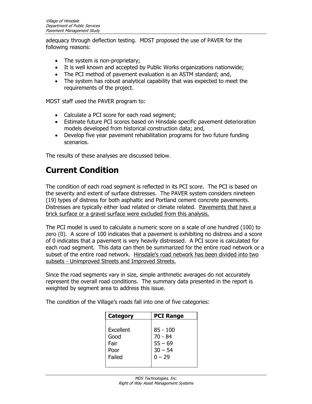adequacy through deflection testing. MDST proposed the use of PAVER for the following reasons:

- The system is non-proprietary;
- It is well known and accepted by Public Works organizations nationwide;
- The PCI method of pavement evaluation is an ASTM standard; and,
- The system has robust analytical capability that was expected to meet the requirements of the project.

MDST staff used the PAVER program to:

- Calculate a PCI score for each road segment;
- Estimate future PCI scores based on Hinsdale specific pavement deterioration models developed from historical construction data; and,
- Develop five year pavement rehabilitation programs for two future funding scenarios.

The results of these analyses are discussed below.

### **Current Condition**

The condition of each road segment is reflected in its PCI score. The PCI is based on the severity and extent of surface distresses. The PAVER system considers nineteen (19) types of distress for both asphaltic and Portland cement concrete pavements. Distresses are typically either load related or climate related. Pavements that have a brick surface or a gravel surface were excluded from this analysis.

The PCI model is used to calculate a numeric score on a scale of one hundred (100) to zero (0). A score of 100 indicates that a pavement is exhibiting no distress and a score of 0 indicates that a pavement is very heavily distressed. A PCI score is calculated for each road segment. This data can then be summarized for the entire road network or a subset of the entire road network. Hinsdale's road network has been divided into two subsets - Unimproved Streets and Improved Streets.

Since the road segments vary in size, simple arithmetic averages do not accurately represent the overall road conditions. The summary data presented in the report is weighted by segment area to address this issue.

The condition of the Village's roads fall into one of five categories:

| <b>Category</b> | <b>PCI Range</b> |
|-----------------|------------------|
|                 |                  |
| Excellent       | $85 - 100$       |
| Good            | $70 - 84$        |
| Fair            | $55 - 69$        |
| Poor            | $30 - 54$        |
| Failed          | $0 - 29$         |
|                 |                  |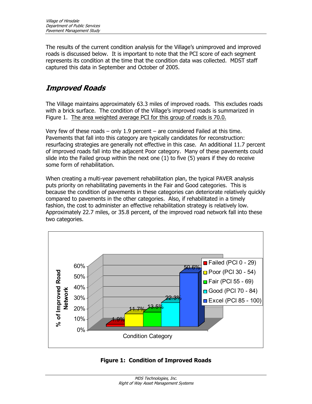The results of the current condition analysis for the Village's unimproved and improved roads is discussed below. It is important to note that the PCI score of each segment represents its condition at the time that the condition data was collected. MDST staff captured this data in September and October of 2005.

#### **Improved Roads**

The Village maintains approximately 63.3 miles of improved roads. This excludes roads with a brick surface. The condition of the Village's improved roads is summarized in Figure 1. The area weighted average PCI for this group of roads is 70.0.

Very few of these roads – only 1.9 percent – are considered Failed at this time. Pavements that fall into this category are typically candidates for reconstruction: resurfacing strategies are generally not effective in this case. An additional 11.7 percent of improved roads fall into the adjacent Poor category. Many of these pavements could slide into the Failed group within the next one (1) to five (5) years if they do receive some form of rehabilitation.

When creating a multi-year pavement rehabilitation plan, the typical PAVER analysis puts priority on rehabilitating pavements in the Fair and Good categories. This is because the condition of pavements in these categories can deteriorate relatively quickly compared to pavements in the other categories. Also, if rehabilitated in a timely fashion, the cost to administer an effective rehabilitation strategy is relatively low. Approximately 22.7 miles, or 35.8 percent, of the improved road network fall into these two categories.



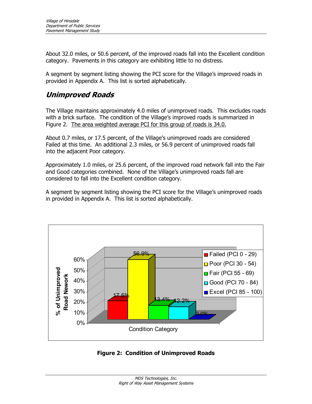About 32.0 miles, or 50.6 percent, of the improved roads fall into the Excellent condition category. Pavements in this category are exhibiting little to no distress.

A segment by segment listing showing the PCI score for the Village's improved roads in provided in Appendix A. This list is sorted alphabetically.

#### **Unimproved Roads**

The Village maintains approximately 4.0 miles of unimproved roads. This excludes roads with a brick surface. The condition of the Village's improved roads is summarized in Figure 2. The area weighted average PCI for this group of roads is 34.0.

About 0.7 miles, or 17.5 percent, of the Village's unimproved roads are considered Failed at this time. An additional 2.3 miles, or 56.9 percent of unimproved roads fall into the adjacent Poor category.

Approximately 1.0 miles, or 25.6 percent, of the improved road network fall into the Fair and Good categories combined. None of the Village's unimproved roads fall are considered to fall into the Excellent condition category.

A segment by segment listing showing the PCI score for the Village's unimproved roads in provided in Appendix A. This list is sorted alphabetically.



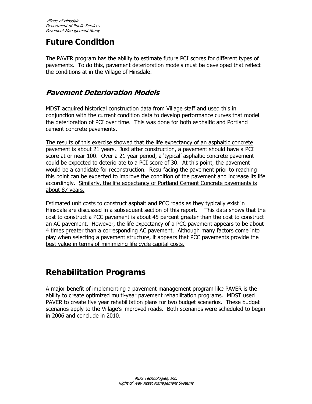#### **Future Condition**

The PAVER program has the ability to estimate future PCI scores for different types of pavements. To do this, pavement deterioration models must be developed that reflect the conditions at in the Village of Hinsdale.

#### **Pavement Deterioration Models**

MDST acquired historical construction data from Village staff and used this in conjunction with the current condition data to develop performance curves that model the deterioration of PCI over time. This was done for both asphaltic and Portland cement concrete pavements.

The results of this exercise showed that the life expectancy of an asphaltic concrete pavement is about 21 years. Just after construction, a pavement should have a PCI score at or near 100. Over a 21 year period, a 'typical' asphaltic concrete pavement could be expected to deteriorate to a PCI score of 30. At this point, the pavement would be a candidate for reconstruction. Resurfacing the pavement prior to reaching this point can be expected to improve the condition of the pavement and increase its life accordingly. Similarly, the life expectancy of Portland Cement Concrete pavements is about 87 years.

Estimated unit costs to construct asphalt and PCC roads as they typically exist in Hinsdale are discussed in a subsequent section of this report. This data shows that the cost to construct a PCC pavement is about 45 percent greater than the cost to construct an AC pavement. However, the life expectancy of a PCC pavement appears to be about 4 times greater than a corresponding AC pavement. Although many factors come into play when selecting a pavement structure, it appears that PCC pavements provide the best value in terms of minimizing life cycle capital costs.

#### **Rehabilitation Programs**

A major benefit of implementing a pavement management program like PAVER is the ability to create optimized multi-year pavement rehabilitation programs. MDST used PAVER to create five year rehabilitation plans for two budget scenarios. These budget scenarios apply to the Village's improved roads. Both scenarios were scheduled to begin in 2006 and conclude in 2010.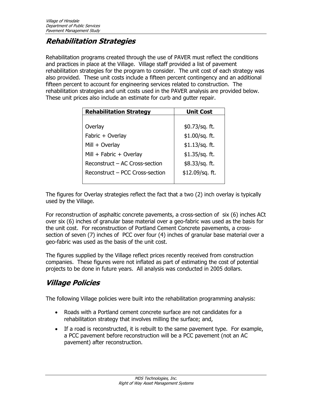#### **Rehabilitation Strategies**

Rehabilitation programs created through the use of PAVER must reflect the conditions and practices in place at the Village. Village staff provided a list of pavement rehabilitation strategies for the program to consider. The unit cost of each strategy was also provided. These unit costs include a fifteen percent contingency and an additional fifteen percent to account for engineering services related to construction. The rehabilitation strategies and unit costs used in the PAVER analysis are provided below. These unit prices also include an estimate for curb and gutter repair.

| <b>Rehabilitation Strategy</b>  | <b>Unit Cost</b>  |
|---------------------------------|-------------------|
|                                 |                   |
| Overlay                         | $$0.73$ /sq. ft.  |
| Fabric + Overlay                | $$1.00/sq.$ ft.   |
| Mill + Overlay                  | \$1.13/sq. ft.    |
| Mill + Fabric + Overlay         | $$1.35/sq.$ ft.   |
| Reconstruct - AC Cross-section  | \$8.33/sq. ft.    |
| Reconstruct – PCC Cross-section | $$12.09$ /sq. ft. |
|                                 |                   |

The figures for Overlay strategies reflect the fact that a two (2) inch overlay is typically used by the Village.

For reconstruction of asphaltic concrete pavements, a cross-section of six (6) inches ACt over six (6) inches of granular base material over a geo-fabric was used as the basis for the unit cost. For reconstruction of Portland Cement Concrete pavements, a crosssection of seven (7) inches of PCC over four (4) inches of granular base material over a geo-fabric was used as the basis of the unit cost.

The figures supplied by the Village reflect prices recently received from construction companies. These figures were not inflated as part of estimating the cost of potential projects to be done in future years. All analysis was conducted in 2005 dollars.

#### **Village Policies**

The following Village policies were built into the rehabilitation programming analysis:

- Roads with a Portland cement concrete surface are not candidates for a rehabilitation strategy that involves milling the surface; and,
- If a road is reconstructed, it is rebuilt to the same pavement type. For example, a PCC pavement before reconstruction will be a PCC pavement (not an AC pavement) after reconstruction.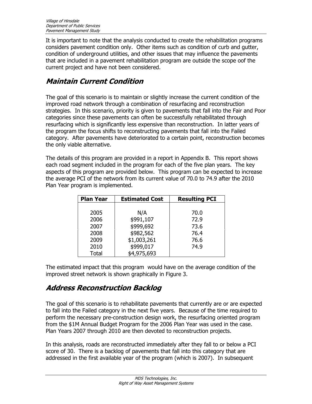It is important to note that the analysis conducted to create the rehabilitation programs considers pavement condition only. Other items such as condition of curb and gutter, condition of underground utilities, and other issues that may influence the pavements that are included in a pavement rehabilitation program are outside the scope oof the current project and have not been considered.

#### **Maintain Current Condition**

The goal of this scenario is to maintain or slightly increase the current condition of the improved road network through a combination of resurfacing and reconstruction strategies. In this scenario, priority is given to pavements that fall into the Fair and Poor categories since these pavements can often be successfully rehabilitated through resurfacing which is significantly less expensive than reconstruction. In latter years of the program the focus shifts to reconstructing pavements that fall into the Failed category. After pavements have deteriorated to a certain point, reconstruction becomes the only viable alternative.

The details of this program are provided in a report in Appendix B. This report shows each road segment included in the program for each of the five plan years. The key aspects of this program are provided below. This program can be expected to increase the average PCI of the network from its current value of 70.0 to 74.9 after the 2010 Plan Year program is implemented.

| <b>Plan Year</b> | <b>Estimated Cost</b> | <b>Resulting PCI</b> |
|------------------|-----------------------|----------------------|
|                  |                       |                      |
| 2005             | N/A                   | 70.0                 |
| 2006             | \$991,107             | 72.9                 |
| 2007             | \$999,692             | 73.6                 |
| 2008             | \$982,562             | 76.4                 |
| 2009             | \$1,003,261           | 76.6                 |
| 2010             | \$999,017             | 74.9                 |
| <b>Total</b>     | \$4,975,693           |                      |

The estimated impact that this program would have on the average condition of the improved street network is shown graphically in Figure 3.

#### **Address Reconstruction Backlog**

The goal of this scenario is to rehabilitate pavements that currently are or are expected to fall into the Failed category in the next five years. Because of the time required to perform the necessary pre-construction design work, the resurfacing oriented program from the \$1M Annual Budget Program for the 2006 Plan Year was used in the case. Plan Years 2007 through 2010 are then devoted to reconstruction projects.

In this analysis, roads are reconstructed immediately after they fall to or below a PCI score of 30. There is a backlog of pavements that fall into this category that are addressed in the first available year of the program (which is 2007). In subsequent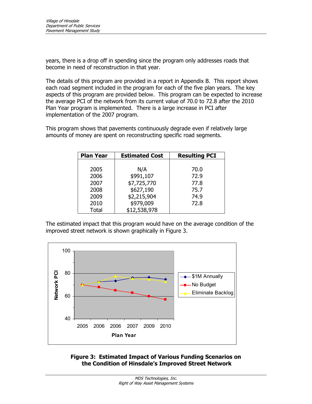years, there is a drop off in spending since the program only addresses roads that become in need of reconstruction in that year.

The details of this program are provided in a report in Appendix B. This report shows each road segment included in the program for each of the five plan years. The key aspects of this program are provided below. This program can be expected to increase the average PCI of the network from its current value of 70.0 to 72.8 after the 2010 Plan Year program is implemented. There is a large increase in PCI after implementation of the 2007 program.

This program shows that pavements continuously degrade even if relatively large amounts of money are spent on reconstructing specific road segments.

| <b>Plan Year</b> | <b>Estimated Cost</b> | <b>Resulting PCI</b> |
|------------------|-----------------------|----------------------|
|                  |                       |                      |
| 2005             | N/A                   | 70.0                 |
| 2006             | \$991,107             | 72.9                 |
| 2007             | \$7,725,770           | 77.8                 |
| 2008             | \$627,190             | 75.7                 |
| 2009             | \$2,215,904           | 74.9                 |
| 2010             | \$979,009             | 72.8                 |
| Total            | \$12,538,978          |                      |

The estimated impact that this program would have on the average condition of the improved street network is shown graphically in Figure 3.



**Figure 3: Estimated Impact of Various Funding Scenarios on the Condition of Hinsdale's Improved Street Network**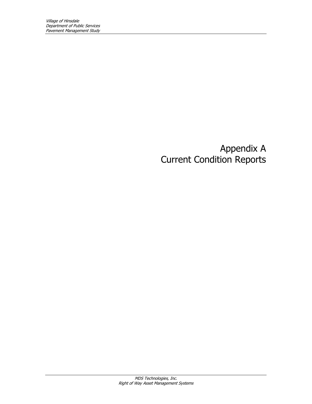## Appendix A Current Condition Reports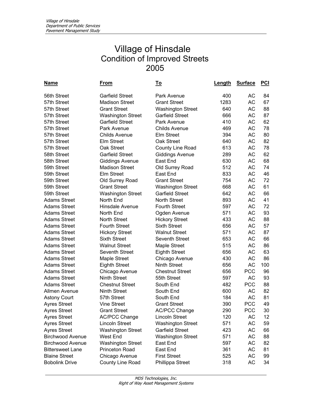| Name                    | From                     | <u>To</u>                | Length | <b>Surface</b> | <b>PCI</b> |
|-------------------------|--------------------------|--------------------------|--------|----------------|------------|
| 56th Street             | <b>Garfield Street</b>   | Park Avenue              | 400    | AC             | 84         |
| 57th Street             | <b>Madison Street</b>    | <b>Grant Street</b>      | 1283   | АC             | 67         |
| 57th Street             | <b>Grant Street</b>      | <b>Washington Street</b> | 640    | <b>AC</b>      | 88         |
| 57th Street             | <b>Washington Street</b> | <b>Garfield Street</b>   | 666    | АC             | 87         |
| 57th Street             | <b>Garfield Street</b>   | Park Avenue              | 410    | AC             | 62         |
| 57th Street             | Park Avenue              | <b>Childs Avenue</b>     | 469    | <b>AC</b>      | 78         |
| 57th Street             | <b>Childs Avenue</b>     | <b>Elm Street</b>        | 394    | AC             | 80         |
| 57th Street             | Elm Street               | Oak Street               | 640    | <b>AC</b>      | 82         |
| 57th Street             | Oak Street               | County Line Road         | 613    | <b>AC</b>      | 78         |
| 58th Street             | <b>Garfield Street</b>   | <b>Giddings Avenue</b>   | 289    | AC             | 62         |
| 58th Street             | <b>Giddings Avenue</b>   | East End                 | 630    | <b>AC</b>      | 68         |
| 59th Street             | <b>Madison Street</b>    | Old Surrey Road          | 512    | АC             | 74         |
| 59th Street             | Elm Street               | East End                 | 833    | AC             | 46         |
| 59th Street             | Old Surrey Road          | <b>Grant Street</b>      | 754    | <b>AC</b>      | 72         |
| 59th Street             | <b>Grant Street</b>      | <b>Washington Street</b> | 668    | AC             | 61         |
| 59th Street             | <b>Washington Street</b> | <b>Garfield Street</b>   | 642    | <b>AC</b>      | 66         |
| <b>Adams Street</b>     | North End                | <b>North Street</b>      | 893    | AC             | 41         |
| <b>Adams Street</b>     | <b>Hinsdale Avenue</b>   | <b>Fourth Street</b>     | 597    | АC             | 72         |
| <b>Adams Street</b>     | North End                | Ogden Avenue             | 571    | <b>AC</b>      | 93         |
| <b>Adams Street</b>     | <b>North Street</b>      | <b>Hickory Street</b>    | 433    | АC             | 88         |
| <b>Adams Street</b>     | <b>Fourth Street</b>     | <b>Sixth Street</b>      | 656    | <b>AC</b>      | 57         |
| <b>Adams Street</b>     | <b>Hickory Street</b>    | <b>Walnut Street</b>     | 571    | <b>AC</b>      | 87         |
| <b>Adams Street</b>     | <b>Sixth Street</b>      | <b>Seventh Street</b>    | 653    | <b>AC</b>      | 66         |
| <b>Adams Street</b>     | <b>Walnut Street</b>     | Maple Street             | 515    | <b>AC</b>      | 86         |
| <b>Adams Street</b>     | <b>Seventh Street</b>    | <b>Eighth Street</b>     | 656    | <b>AC</b>      | 63         |
| <b>Adams Street</b>     | <b>Maple Street</b>      | Chicago Avenue           | 430    | AC             | 86         |
| <b>Adams Street</b>     | <b>Eighth Street</b>     | <b>Ninth Street</b>      | 656    | <b>AC</b>      | 100        |
| <b>Adams Street</b>     | Chicago Avenue           | <b>Chestnut Street</b>   | 656    | <b>PCC</b>     | 96         |
| <b>Adams Street</b>     | <b>Ninth Street</b>      | 55th Street              | 597    | <b>AC</b>      | 93         |
| <b>Adams Street</b>     | <b>Chestnut Street</b>   | South End                | 482    | <b>PCC</b>     | 88         |
| Allmen Avenue           | <b>Ninth Street</b>      | South End                | 600    | AC             | 82         |
| <b>Astony Court</b>     | 57th Street              | South End                | 184    | <b>AC</b>      | 81         |
| <b>Ayres Street</b>     | <b>Vine Street</b>       | <b>Grant Street</b>      | 390    | <b>PCC</b>     | 49         |
| <b>Ayres Street</b>     | <b>Grant Street</b>      | <b>AC/PCC Change</b>     | 290    | <b>PCC</b>     | 30         |
| <b>Ayres Street</b>     | <b>AC/PCC Change</b>     | <b>Lincoln Street</b>    | 120    | АC             | 12         |
| <b>Ayres Street</b>     | <b>Lincoln Street</b>    | <b>Washington Street</b> | 571    | AC             | 59         |
| <b>Ayres Street</b>     | <b>Washington Street</b> | <b>Garfield Street</b>   | 423    | AC             | 66         |
| <b>Birchwood Avenue</b> | <b>West End</b>          | <b>Washington Street</b> | 571    | AC             | 88         |
| <b>Birchwood Avenue</b> | <b>Washington Street</b> | East End                 | 597    | AC             | 82         |
| <b>Bittersweet Lane</b> | <b>Princeton Road</b>    | East End                 | 361    | AC             | 81         |
| <b>Blaine Street</b>    | Chicago Avenue           | <b>First Street</b>      | 525    | AC             | 99         |
| <b>Bobolink Drive</b>   | County Line Road         | Phillippa Street         | 318    | AC             | 34         |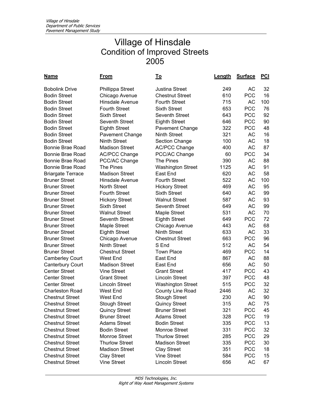| <u>Name</u>              | <u>From</u>            | <u>To</u>                | <b>Length</b> | <b>Surface</b> | <b>PCI</b> |
|--------------------------|------------------------|--------------------------|---------------|----------------|------------|
| <b>Bobolink Drive</b>    | Phillippa Street       | <b>Justina Street</b>    | 249           | <b>AC</b>      | 32         |
| <b>Bodin Street</b>      | Chicago Avenue         | <b>Chestnut Street</b>   | 610           | <b>PCC</b>     | 16         |
| <b>Bodin Street</b>      | Hinsdale Avenue        | <b>Fourth Street</b>     | 715           | <b>AC</b>      | 100        |
| <b>Bodin Street</b>      | <b>Fourth Street</b>   | <b>Sixth Street</b>      | 653           | <b>PCC</b>     | 76         |
| <b>Bodin Street</b>      | <b>Sixth Street</b>    | <b>Seventh Street</b>    | 643           | <b>PCC</b>     | 92         |
| <b>Bodin Street</b>      | <b>Seventh Street</b>  | <b>Eighth Street</b>     | 646           | <b>PCC</b>     | 90         |
| <b>Bodin Street</b>      | <b>Eighth Street</b>   | Pavement Change          | 322           | <b>PCC</b>     | 48         |
| <b>Bodin Street</b>      | <b>Pavement Change</b> | <b>Ninth Street</b>      | 321           | <b>AC</b>      | 16         |
| <b>Bodin Street</b>      | <b>Ninth Street</b>    | <b>Section Change</b>    | 100           | <b>AC</b>      | 18         |
| Bonnie Brae Road         | <b>Madison Street</b>  | <b>AC/PCC Change</b>     | 400           | AC             | 87         |
| Bonnie Brae Road         | <b>AC/PCC Change</b>   | PCC/AC Change            | 60            | <b>PCC</b>     | 34         |
| Bonnie Brae Road         | PCC/AC Change          | <b>The Pines</b>         | 390           | <b>AC</b>      | 88         |
| Bonnie Brae Road         | The Pines              | <b>Washington Street</b> | 1125          | <b>AC</b>      | 91         |
| <b>Briargate Terrace</b> | <b>Madison Street</b>  | East End                 | 620           | AC             | 58         |
| <b>Bruner Street</b>     | Hinsdale Avenue        | <b>Fourth Street</b>     | 522           | <b>AC</b>      | 100        |
| <b>Bruner Street</b>     | <b>North Street</b>    | <b>Hickory Street</b>    | 469           | <b>AC</b>      | 95         |
| <b>Bruner Street</b>     | <b>Fourth Street</b>   | <b>Sixth Street</b>      | 640           | <b>AC</b>      | 99         |
| <b>Bruner Street</b>     | <b>Hickory Street</b>  | <b>Walnut Street</b>     | 587           | АC             | 93         |
| <b>Bruner Street</b>     | <b>Sixth Street</b>    | Seventh Street           | 649           | <b>AC</b>      | 99         |
| <b>Bruner Street</b>     | <b>Walnut Street</b>   | Maple Street             | 531           | AC             | 70         |
| <b>Bruner Street</b>     | Seventh Street         | <b>Eighth Street</b>     | 649           | <b>PCC</b>     | 72         |
| <b>Bruner Street</b>     | <b>Maple Street</b>    | Chicago Avenue           | 443           | <b>AC</b>      | 68         |
| <b>Bruner Street</b>     | <b>Eighth Street</b>   | <b>Ninth Street</b>      | 633           | <b>AC</b>      | 33         |
| <b>Bruner Street</b>     | Chicago Avenue         | <b>Chestnut Street</b>   | 663           | <b>PCC</b>     | 96         |
| <b>Bruner Street</b>     | <b>Ninth Street</b>    | S End                    | 512           | <b>AC</b>      | 54         |
| <b>Bruner Street</b>     | <b>Chestnut Street</b> | <b>Town Place</b>        | 469           | <b>PCC</b>     | 14         |
| <b>Camberley Court</b>   | West End               | East End                 | 867           | AC             | 88         |
| <b>Canterbury Court</b>  | <b>Madison Street</b>  | East End                 | 656           | AC             | 50         |
| <b>Center Street</b>     | <b>Vine Street</b>     | <b>Grant Street</b>      | 417           | <b>PCC</b>     | 43         |
| <b>Center Street</b>     | <b>Grant Street</b>    | <b>Lincoln Street</b>    | 397           | <b>PCC</b>     | 48         |
| <b>Center Street</b>     | <b>Lincoln Street</b>  | <b>Washington Street</b> | 515           | <b>PCC</b>     | 32         |
| <b>Charleston Road</b>   | <b>West End</b>        | County Line Road         | 2446          | <b>AC</b>      | 32         |
| <b>Chestnut Street</b>   | <b>West End</b>        | <b>Stough Street</b>     | 230           | <b>AC</b>      | 90         |
| <b>Chestnut Street</b>   | <b>Stough Street</b>   | <b>Quincy Street</b>     | 315           | AC             | 75         |
| <b>Chestnut Street</b>   | <b>Quincy Street</b>   | <b>Bruner Street</b>     | 321           | <b>PCC</b>     | 45         |
| <b>Chestnut Street</b>   | <b>Bruner Street</b>   | <b>Adams Street</b>      | 328           | <b>PCC</b>     | 19         |
| <b>Chestnut Street</b>   | <b>Adams Street</b>    | <b>Bodin Street</b>      | 335           | <b>PCC</b>     | 13         |
| <b>Chestnut Street</b>   | <b>Bodin Street</b>    | <b>Monroe Street</b>     | 331           | <b>PCC</b>     | 32         |
| <b>Chestnut Street</b>   | <b>Monroe Street</b>   | <b>Thurlow Street</b>    | 285           | <b>PCC</b>     | 29         |
| <b>Chestnut Street</b>   | <b>Thurlow Street</b>  | <b>Madison Street</b>    | 335           | <b>PCC</b>     | 30         |
| <b>Chestnut Street</b>   | <b>Madison Street</b>  | <b>Clay Street</b>       | 351           | <b>PCC</b>     | 18         |
| <b>Chestnut Street</b>   | <b>Clay Street</b>     | <b>Vine Street</b>       | 584           | <b>PCC</b>     | 15         |
| <b>Chestnut Street</b>   | <b>Vine Street</b>     | Lincoln Street           | 656           | AC             | 67         |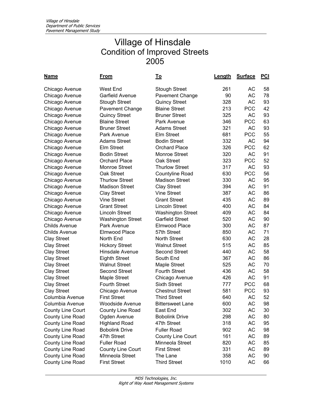| <u>Name</u>              | <u>From</u>              | <u>To</u>                | Length | <b>Surface</b> | <u>PCI</u> |
|--------------------------|--------------------------|--------------------------|--------|----------------|------------|
| Chicago Avenue           | <b>West End</b>          | <b>Stough Street</b>     | 261    | АC             | 58         |
| Chicago Avenue           | Garfield Avenue          | Pavement Change          | 90     | АC             | 78         |
| Chicago Avenue           | <b>Stough Street</b>     | <b>Quincy Street</b>     | 328    | <b>AC</b>      | 93         |
| Chicago Avenue           | <b>Pavement Change</b>   | <b>Blaine Street</b>     | 213    | <b>PCC</b>     | 42         |
| Chicago Avenue           | <b>Quincy Street</b>     | <b>Bruner Street</b>     | 325    | <b>AC</b>      | 93         |
| Chicago Avenue           | <b>Blaine Street</b>     | Park Avenue              | 346    | <b>PCC</b>     | 63         |
| Chicago Avenue           | <b>Bruner Street</b>     | <b>Adams Street</b>      | 321    | АC             | 93         |
| Chicago Avenue           | Park Avenue              | Elm Street               | 681    | <b>PCC</b>     | 55         |
| Chicago Avenue           | <b>Adams Street</b>      | <b>Bodin Street</b>      | 332    | <b>AC</b>      | 94         |
| Chicago Avenue           | <b>Elm Street</b>        | <b>Orchard Place</b>     | 326    | <b>PCC</b>     | 62         |
| Chicago Avenue           | <b>Bodin Street</b>      | Monroe Street            | 320    | <b>AC</b>      | 91         |
| Chicago Avenue           | <b>Orchard Place</b>     | Oak Street               | 323    | <b>PCC</b>     | 52         |
| Chicago Avenue           | <b>Monroe Street</b>     | <b>Thurlow Street</b>    | 317    | <b>AC</b>      | 93         |
| Chicago Avenue           | Oak Street               | Countyline Road          | 630    | <b>PCC</b>     | 56         |
| Chicago Avenue           | <b>Thurlow Street</b>    | <b>Madison Street</b>    | 330    | АC             | 95         |
| Chicago Avenue           | <b>Madison Street</b>    | <b>Clay Street</b>       | 394    | АC             | 91         |
| Chicago Avenue           | <b>Clay Street</b>       | <b>Vine Street</b>       | 387    | AC             | 86         |
| Chicago Avenue           | <b>Vine Street</b>       | <b>Grant Street</b>      | 435    | АC             | 89         |
| Chicago Avenue           | <b>Grant Street</b>      | <b>Lincoln Street</b>    | 400    | <b>AC</b>      | 84         |
| Chicago Avenue           | <b>Lincoln Street</b>    | <b>Washington Street</b> | 409    | <b>AC</b>      | 84         |
| Chicago Avenue           | <b>Washington Street</b> | <b>Garfield Street</b>   | 520    | <b>AC</b>      | 90         |
| <b>Childs Avenue</b>     | Park Avenue              | Elmwood Place            | 300    | <b>AC</b>      | 87         |
| <b>Childs Avenue</b>     | Elmwood Place            | 57th Street              | 850    | <b>AC</b>      | 71         |
| <b>Clay Street</b>       | North End                | <b>North Street</b>      | 630    | AC             | 28         |
| <b>Clay Street</b>       | <b>Hickory Street</b>    | <b>Walnut Street</b>     | 515    | <b>AC</b>      | 85         |
| <b>Clay Street</b>       | Hinsdale Avenue          | <b>Second Street</b>     | 440    | АC             | 58         |
| <b>Clay Street</b>       | <b>Eighth Street</b>     | South End                | 367    | <b>AC</b>      | 86         |
| <b>Clay Street</b>       | <b>Walnut Street</b>     | Maple Street             | 525    | AC             | 70         |
| <b>Clay Street</b>       | <b>Second Street</b>     | <b>Fourth Street</b>     | 436    | <b>AC</b>      | 58         |
| <b>Clay Street</b>       | Maple Street             | Chicago Avenue           | 426    | <b>AC</b>      | 91         |
| <b>Clay Street</b>       | <b>Fourth Street</b>     | <b>Sixth Street</b>      | 777    | <b>PCC</b>     | 68         |
| <b>Clay Street</b>       | Chicago Avenue           | <b>Chestnut Street</b>   | 581    | <b>PCC</b>     | 93         |
| Columbia Avenue          | <b>First Street</b>      | <b>Third Street</b>      | 640    | <b>AC</b>      | 52         |
| Columbia Avenue          | <b>Woodside Avenue</b>   | <b>Bittersweet Lane</b>  | 600    | AC             | 98         |
| <b>County Line Court</b> | County Line Road         | East End                 | 302    | AC             | 30         |
| County Line Road         | Ogden Avenue             | <b>Bobolink Drive</b>    | 298    | AC             | 80         |
| County Line Road         | <b>Highland Road</b>     | 47th Street              | 318    | AC             | 95         |
| County Line Road         | <b>Bobolink Drive</b>    | <b>Fuller Road</b>       | 902    | AC             | 98         |
| County Line Road         | 47th Street              | <b>County Line Court</b> | 161    | AC             | 89         |
| County Line Road         | <b>Fuller Road</b>       | Minneola Street          | 820    | AC             | 85         |
| County Line Road         | <b>County Line Court</b> | <b>First Street</b>      | 331    | AC             | 89         |
| County Line Road         | Minneola Street          | The Lane                 | 358    | AC             | 90         |
| County Line Road         | <b>First Street</b>      | <b>Third Street</b>      | 1010   | AC             | 66         |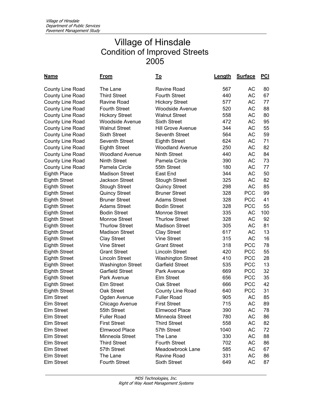| <u>Name</u>             | <u>From</u>              | <u>To</u>                | Length | <b>Surface</b> | <b>PCI</b> |
|-------------------------|--------------------------|--------------------------|--------|----------------|------------|
| <b>County Line Road</b> | The Lane                 | <b>Ravine Road</b>       | 567    | АC             | 80         |
| County Line Road        | <b>Third Street</b>      | <b>Fourth Street</b>     | 440    | <b>AC</b>      | 67         |
| County Line Road        | Ravine Road              | <b>Hickory Street</b>    | 577    | АC             | 77         |
| County Line Road        | <b>Fourth Street</b>     | <b>Woodside Avenue</b>   | 520    | AC             | 88         |
| <b>County Line Road</b> | <b>Hickory Street</b>    | <b>Walnut Street</b>     | 558    | AC             | 80         |
| County Line Road        | <b>Woodside Avenue</b>   | <b>Sixth Street</b>      | 472    | <b>AC</b>      | 95         |
| <b>County Line Road</b> | <b>Walnut Street</b>     | <b>Hill Grove Avenue</b> | 344    | AC             | 55         |
| County Line Road        | <b>Sixth Street</b>      | Seventh Street           | 564    | <b>AC</b>      | 59         |
| County Line Road        | Seventh Street           | <b>Eighth Street</b>     | 624    | AC             | 71         |
| County Line Road        | <b>Eighth Street</b>     | <b>Woodland Avenue</b>   | 250    | AC             | 82         |
| County Line Road        | <b>Woodland Avenue</b>   | <b>Ninth Street</b>      | 440    | AC             | 84         |
| County Line Road        | <b>Ninth Street</b>      | Pamela Circle            | 390    | AC             | 73         |
| County Line Road        | Pamela Circle            | 55th Street              | 180    | <b>AC</b>      | 77         |
| <b>Eighth Place</b>     | <b>Madison Street</b>    | East End                 | 344    | AC             | 50         |
| <b>Eighth Street</b>    | <b>Jackson Street</b>    | <b>Stough Street</b>     | 325    | <b>AC</b>      | 82         |
| <b>Eighth Street</b>    | <b>Stough Street</b>     | <b>Quincy Street</b>     | 298    | <b>AC</b>      | 85         |
| <b>Eighth Street</b>    | <b>Quincy Street</b>     | <b>Bruner Street</b>     | 328    | <b>PCC</b>     | 99         |
| <b>Eighth Street</b>    | <b>Bruner Street</b>     | <b>Adams Street</b>      | 328    | <b>PCC</b>     | 41         |
| <b>Eighth Street</b>    | <b>Adams Street</b>      | <b>Bodin Street</b>      | 328    | <b>PCC</b>     | 55         |
| <b>Eighth Street</b>    | <b>Bodin Street</b>      | <b>Monroe Street</b>     | 335    | <b>AC</b>      | 100        |
| <b>Eighth Street</b>    | <b>Monroe Street</b>     | <b>Thurlow Street</b>    | 328    | <b>AC</b>      | 92         |
| <b>Eighth Street</b>    | <b>Thurlow Street</b>    | <b>Madison Street</b>    | 305    | AC             | 81         |
| <b>Eighth Street</b>    | <b>Madison Street</b>    | <b>Clay Street</b>       | 617    | <b>AC</b>      | 13         |
| <b>Eighth Street</b>    | <b>Clay Street</b>       | <b>Vine Street</b>       | 315    | <b>AC</b>      | 16         |
| <b>Eighth Street</b>    | <b>Vine Street</b>       | <b>Grant Street</b>      | 318    | <b>PCC</b>     | 78         |
| <b>Eighth Street</b>    | <b>Grant Street</b>      | <b>Lincoln Street</b>    | 420    | <b>PCC</b>     | 55         |
| <b>Eighth Street</b>    | <b>Lincoln Street</b>    | <b>Washington Street</b> | 410    | <b>PCC</b>     | 28         |
| <b>Eighth Street</b>    | <b>Washington Street</b> | <b>Garfield Street</b>   | 535    | <b>PCC</b>     | 13         |
| <b>Eighth Street</b>    | <b>Garfield Street</b>   | Park Avenue              | 669    | <b>PCC</b>     | 32         |
| <b>Eighth Street</b>    | Park Avenue              | Elm Street               | 656    | <b>PCC</b>     | 35         |
| <b>Eighth Street</b>    | Elm Street               | Oak Street               | 666    | <b>PCC</b>     | 42         |
| <b>Eighth Street</b>    | Oak Street               | County Line Road         | 640    | <b>PCC</b>     | 31         |
| <b>Elm Street</b>       | Ogden Avenue             | <b>Fuller Road</b>       | 905    | <b>AC</b>      | 85         |
| <b>Elm Street</b>       | Chicago Avenue           | <b>First Street</b>      | 715    | AC             | 89         |
| Elm Street              | 55th Street              | Elmwood Place            | 390    | AC             | 78         |
| Elm Street              | <b>Fuller Road</b>       | Minneola Street          | 780    | AC             | 86         |
| Elm Street              | <b>First Street</b>      | <b>Third Street</b>      | 558    | AC             | 82         |
| Elm Street              | Elmwood Place            | 57th Street              | 1040   | AC             | 72         |
| Elm Street              | Minneola Street          | The Lane                 | 330    | AC             | 88         |
| Elm Street              | <b>Third Street</b>      | <b>Fourth Street</b>     | 702    | AC             | 86         |
| Elm Street              | 57th Street              | Meadowbrook Lane         | 585    | AC             | 67         |
| Elm Street              | The Lane                 | Ravine Road              | 331    | AC             | 86         |
| Elm Street              | <b>Fourth Street</b>     | <b>Sixth Street</b>      | 649    | AC             | 87         |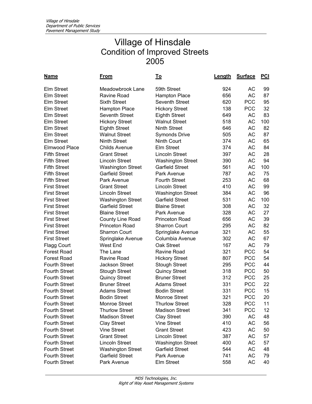| <u>Name</u>          | From                     | <u>To</u>                | Length | <b>Surface</b> | <u>PCI</u> |
|----------------------|--------------------------|--------------------------|--------|----------------|------------|
| <b>Elm Street</b>    | Meadowbrook Lane         | 59th Street              | 924    | АC             | 99         |
| Elm Street           | Ravine Road              | <b>Hampton Place</b>     | 656    | <b>AC</b>      | 87         |
| Elm Street           | <b>Sixth Street</b>      | Seventh Street           | 620    | <b>PCC</b>     | 95         |
| Elm Street           | <b>Hampton Place</b>     | <b>Hickory Street</b>    | 138    | <b>PCC</b>     | 32         |
| Elm Street           | Seventh Street           | <b>Eighth Street</b>     | 649    | AC             | 83         |
| <b>Elm Street</b>    | <b>Hickory Street</b>    | <b>Walnut Street</b>     | 518    | AC             | 100        |
| <b>Elm Street</b>    | <b>Eighth Street</b>     | <b>Ninth Street</b>      | 646    | AC             | 82         |
| Elm Street           | <b>Walnut Street</b>     | <b>Symonds Drive</b>     | 505    | AC             | 87         |
| Elm Street           | <b>Ninth Street</b>      | Ninth Court              | 374    | AC             | 65         |
| Elmwood Place        | <b>Childs Avenue</b>     | <b>Elm Street</b>        | 374    | AC             | 84         |
| <b>Fifth Street</b>  | <b>Grant Street</b>      | <b>Lincoln Street</b>    | 397    | AC             | 28         |
| <b>Fifth Street</b>  | <b>Lincoln Street</b>    | <b>Washington Street</b> | 390    | AC             | 94         |
| <b>Fifth Street</b>  | <b>Washington Street</b> | <b>Garfield Street</b>   | 561    | AC             | 100        |
| <b>Fifth Street</b>  | <b>Garfield Street</b>   | Park Avenue              | 787    | AC             | 75         |
| <b>Fifth Street</b>  | Park Avenue              | <b>Fourth Street</b>     | 253    | AC             | 68         |
| <b>First Street</b>  | <b>Grant Street</b>      | <b>Lincoln Street</b>    | 410    | AC             | 99         |
| <b>First Street</b>  | <b>Lincoln Street</b>    | <b>Washington Street</b> | 384    | AC             | 96         |
| <b>First Street</b>  | <b>Washington Street</b> | <b>Garfield Street</b>   | 531    | AC             | 100        |
| <b>First Street</b>  | <b>Garfield Street</b>   | <b>Blaine Street</b>     | 308    | AC             | 32         |
| <b>First Street</b>  | <b>Blaine Street</b>     | Park Avenue              | 328    | AC             | 27         |
| <b>First Street</b>  | County Line Road         | <b>Princeton Road</b>    | 656    | AC             | 39         |
| <b>First Street</b>  | <b>Princeton Road</b>    | <b>Sharron Court</b>     | 295    | AC             | 82         |
| <b>First Street</b>  | <b>Sharron Court</b>     | Springlake Avenue        | 321    | AC             | 55         |
| <b>First Street</b>  | Springlake Avenue        | Columbia Avenue          | 302    | AC             | 67         |
| <b>Flagg Court</b>   | West End                 | Oak Street               | 167    | AC             | 79         |
| <b>Forest Road</b>   | The Lane                 | Ravine Road              | 321    | <b>PCC</b>     | 54         |
| <b>Forest Road</b>   | Ravine Road              | <b>Hickory Street</b>    | 807    | <b>PCC</b>     | 54         |
| <b>Fourth Street</b> | Jackson Street           | <b>Stough Street</b>     | 295    | <b>PCC</b>     | 44         |
| <b>Fourth Street</b> | <b>Stough Street</b>     | <b>Quincy Street</b>     | 318    | <b>PCC</b>     | 50         |
| <b>Fourth Street</b> | <b>Quincy Street</b>     | <b>Bruner Street</b>     | 312    | <b>PCC</b>     | 25         |
| <b>Fourth Street</b> | <b>Bruner Street</b>     | <b>Adams Street</b>      | 331    | <b>PCC</b>     | 22         |
| <b>Fourth Street</b> | <b>Adams Street</b>      | <b>Bodin Street</b>      | 331    | <b>PCC</b>     | 15         |
| <b>Fourth Street</b> | <b>Bodin Street</b>      | <b>Monroe Street</b>     | 321    | <b>PCC</b>     | 20         |
| Fourth Street        | Monroe Street            | <b>Thurlow Street</b>    | 328    | <b>PCC</b>     | 11         |
| <b>Fourth Street</b> | <b>Thurlow Street</b>    | <b>Madison Street</b>    | 341    | <b>PCC</b>     | 12         |
| <b>Fourth Street</b> | <b>Madison Street</b>    | <b>Clay Street</b>       | 390    | AC             | 48         |
| <b>Fourth Street</b> | <b>Clay Street</b>       | <b>Vine Street</b>       | 410    | AC             | 56         |
| <b>Fourth Street</b> | <b>Vine Street</b>       | <b>Grant Street</b>      | 423    | AC             | 50         |
| <b>Fourth Street</b> | <b>Grant Street</b>      | <b>Lincoln Street</b>    | 387    | AC             | 57         |
| <b>Fourth Street</b> | <b>Lincoln Street</b>    | <b>Washington Street</b> | 400    | AC             | 57         |
| <b>Fourth Street</b> | <b>Washington Street</b> | <b>Garfield Street</b>   | 544    | AC             | 48         |
| <b>Fourth Street</b> | <b>Garfield Street</b>   | Park Avenue              | 741    | AC             | 79         |
| Fourth Street        | Park Avenue              | Elm Street               | 558    | AC             | 40         |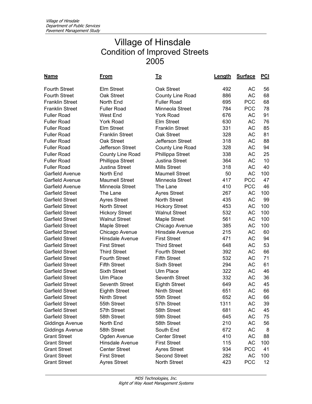| <u>Name</u>            | <u>From</u>            | <u>To</u>              | <b>Length</b> | <b>Surface</b> | <b>PCI</b> |
|------------------------|------------------------|------------------------|---------------|----------------|------------|
| <b>Fourth Street</b>   | <b>Elm Street</b>      | Oak Street             | 492           | АC             | 56         |
| <b>Fourth Street</b>   | Oak Street             | County Line Road       | 886           | АC             | 68         |
| <b>Franklin Street</b> | North End              | <b>Fuller Road</b>     | 695           | <b>PCC</b>     | 68         |
| <b>Franklin Street</b> | <b>Fuller Road</b>     | Minneola Street        | 784           | <b>PCC</b>     | 78         |
| <b>Fuller Road</b>     | <b>West End</b>        | <b>York Road</b>       | 676           | AC             | 91         |
| <b>Fuller Road</b>     | <b>York Road</b>       | <b>Elm Street</b>      | 630           | AC             | 76         |
| <b>Fuller Road</b>     | <b>Elm Street</b>      | <b>Franklin Street</b> | 331           | AC             | 85         |
| <b>Fuller Road</b>     | <b>Franklin Street</b> | Oak Street             | 328           | AC             | 81         |
| <b>Fuller Road</b>     | Oak Street             | Jefferson Street       | 318           | AC             | 88         |
| <b>Fuller Road</b>     | Jefferson Street       | County Line Road       | 328           | AC             | 94         |
| <b>Fuller Road</b>     | County Line Road       | Phillippa Street       | 338           | AC             | 25         |
| <b>Fuller Road</b>     | Phillippa Street       | Justina Street         | 364           | AC             | 10         |
| <b>Fuller Road</b>     | <b>Justina Street</b>  | <b>Mills Street</b>    | 318           | AC             | 40         |
| Garfield Avenue        | North End              | <b>Maumell Street</b>  | 50            | <b>AC</b>      | 100        |
| Garfield Avenue        | <b>Maumell Street</b>  | Minneola Street        | 417           | <b>PCC</b>     | 47         |
| Garfield Avenue        | Minneola Street        | The Lane               | 410           | <b>PCC</b>     | 46         |
| Garfield Street        | The Lane               | <b>Ayres Street</b>    | 267           | AC             | 100        |
| <b>Garfield Street</b> | <b>Ayres Street</b>    | <b>North Street</b>    | 435           | АC             | 99         |
| <b>Garfield Street</b> | <b>North Street</b>    | <b>Hickory Street</b>  | 453           | AC             | 100        |
| <b>Garfield Street</b> | <b>Hickory Street</b>  | <b>Walnut Street</b>   | 532           | AC             | 100        |
| <b>Garfield Street</b> | <b>Walnut Street</b>   | Maple Street           | 561           | AC             | 100        |
| <b>Garfield Street</b> | <b>Maple Street</b>    | Chicago Avenue         | 385           | AC             | 100        |
| <b>Garfield Street</b> | Chicago Avenue         | Hinsdale Avenue        | 215           | AC             | 60         |
| <b>Garfield Street</b> | <b>Hinsdale Avenue</b> | <b>First Street</b>    | 471           | <b>AC</b>      | 94         |
| <b>Garfield Street</b> | <b>First Street</b>    | <b>Third Street</b>    | 648           | AC             | 53         |
| <b>Garfield Street</b> | <b>Third Street</b>    | <b>Fourth Street</b>   | 392           | AC             | 66         |
| <b>Garfield Street</b> | <b>Fourth Street</b>   | <b>Fifth Street</b>    | 532           | AC             | 71         |
| <b>Garfield Street</b> | <b>Fifth Street</b>    | <b>Sixth Street</b>    | 294           | AC             | 61         |
| <b>Garfield Street</b> | <b>Sixth Street</b>    | Ulm Place              | 322           | AC             | 46         |
| <b>Garfield Street</b> | <b>Ulm Place</b>       | Seventh Street         | 332           | AC             | 36         |
| <b>Garfield Street</b> | <b>Seventh Street</b>  | <b>Eighth Street</b>   | 649           | AC             | 45         |
| <b>Garfield Street</b> | <b>Eighth Street</b>   | <b>Ninth Street</b>    | 651           | <b>AC</b>      | 66         |
| <b>Garfield Street</b> | <b>Ninth Street</b>    | 55th Street            | 652           | AC             | 66         |
| <b>Garfield Street</b> | 55th Street            | 57th Street            | 1311          | AC             | 39         |
| Garfield Street        | 57th Street            | 58th Street            | 681           | AC             | 45         |
| <b>Garfield Street</b> | 58th Street            | 59th Street            | 645           | AC             | 75         |
| <b>Giddings Avenue</b> | North End              | 58th Street            | 210           | AC             | 56         |
| <b>Giddings Avenue</b> | 58th Street            | South End              | 672           | AC             | 8          |
| <b>Grant Street</b>    | Ogden Avenue           | <b>Center Street</b>   | 410           | AC             | 88         |
| <b>Grant Street</b>    | Hinsdale Avenue        | <b>First Street</b>    | 115           | AC             | 100        |
| <b>Grant Street</b>    | <b>Center Street</b>   | <b>Ayres Street</b>    | 934           | <b>PCC</b>     | 41         |
| <b>Grant Street</b>    | <b>First Street</b>    | <b>Second Street</b>   | 282           | AC             | 100        |
| <b>Grant Street</b>    | <b>Ayres Street</b>    | North Street           | 423           | <b>PCC</b>     | 12         |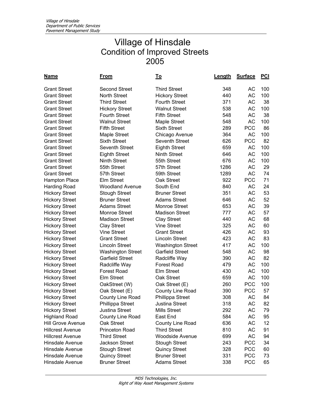| <u>Name</u>             | From                     | <u>To</u>                | Length | <b>Surface</b> | <u>PCI</u> |
|-------------------------|--------------------------|--------------------------|--------|----------------|------------|
| <b>Grant Street</b>     | <b>Second Street</b>     | <b>Third Street</b>      | 348    | AC             | 100        |
| <b>Grant Street</b>     | <b>North Street</b>      | <b>Hickory Street</b>    | 440    | <b>AC</b>      | 100        |
| <b>Grant Street</b>     | <b>Third Street</b>      | <b>Fourth Street</b>     | 371    | АC             | 38         |
| <b>Grant Street</b>     | <b>Hickory Street</b>    | <b>Walnut Street</b>     | 538    | AC             | 100        |
| <b>Grant Street</b>     | <b>Fourth Street</b>     | <b>Fifth Street</b>      | 548    | AC             | 38         |
| <b>Grant Street</b>     | <b>Walnut Street</b>     | Maple Street             | 548    | AC             | 100        |
| <b>Grant Street</b>     | <b>Fifth Street</b>      | <b>Sixth Street</b>      | 289    | <b>PCC</b>     | 86         |
| <b>Grant Street</b>     | <b>Maple Street</b>      | Chicago Avenue           | 364    | <b>AC</b>      | 100        |
| <b>Grant Street</b>     | <b>Sixth Street</b>      | <b>Seventh Street</b>    | 626    | <b>PCC</b>     | 82         |
| <b>Grant Street</b>     | <b>Seventh Street</b>    | <b>Eighth Street</b>     | 659    | AC             | 100        |
| <b>Grant Street</b>     | <b>Eighth Street</b>     | <b>Ninth Street</b>      | 646    | АC             | 100        |
| <b>Grant Street</b>     | <b>Ninth Street</b>      | 55th Street              | 676    | AC             | 100        |
| <b>Grant Street</b>     | 55th Street              | 57th Street              | 1286   | AC             | 29         |
| <b>Grant Street</b>     | 57th Street              | 59th Street              | 1289   | AC             | 74         |
| Hampton Place           | Elm Street               | Oak Street               | 922    | <b>PCC</b>     | 71         |
| <b>Harding Road</b>     | <b>Woodland Avenue</b>   | South End                | 840    | AC             | 24         |
| <b>Hickory Street</b>   | <b>Stough Street</b>     | <b>Bruner Street</b>     | 351    | AC             | 53         |
| <b>Hickory Street</b>   | <b>Bruner Street</b>     | <b>Adams Street</b>      | 646    | <b>AC</b>      | 52         |
| <b>Hickory Street</b>   | <b>Adams Street</b>      | <b>Monroe Street</b>     | 653    | АC             | 39         |
| <b>Hickory Street</b>   | <b>Monroe Street</b>     | <b>Madison Street</b>    | 777    | AC             | 57         |
| <b>Hickory Street</b>   | <b>Madison Street</b>    | <b>Clay Street</b>       | 440    | AC             | 68         |
| <b>Hickory Street</b>   | <b>Clay Street</b>       | <b>Vine Street</b>       | 325    | AC             | 60         |
| <b>Hickory Street</b>   | <b>Vine Street</b>       | <b>Grant Street</b>      | 426    | AC             | 93         |
| <b>Hickory Street</b>   | <b>Grant Street</b>      | <b>Lincoln Street</b>    | 423    | AC             | 83         |
| <b>Hickory Street</b>   | <b>Lincoln Street</b>    | <b>Washington Street</b> | 417    | AC             | 100        |
| <b>Hickory Street</b>   | <b>Washington Street</b> | <b>Garfield Street</b>   | 548    | AC             | 98         |
| <b>Hickory Street</b>   | <b>Garfield Street</b>   | Radcliffe Way            | 390    | AC             | 82         |
| <b>Hickory Street</b>   | Radcliffe Way            | <b>Forest Road</b>       | 479    | AC             | 100        |
| <b>Hickory Street</b>   | <b>Forest Road</b>       | <b>Elm Street</b>        | 430    | AC             | 100        |
| <b>Hickory Street</b>   | <b>Elm Street</b>        | Oak Street               | 659    | AC             | 100        |
| <b>Hickory Street</b>   | OakStreet (W)            | Oak Street (E)           | 260    | <b>PCC</b>     | 100        |
| <b>Hickory Street</b>   | Oak Street (E)           | County Line Road         | 390    | <b>PCC</b>     | 57         |
| <b>Hickory Street</b>   | <b>County Line Road</b>  | Phillippa Street         | 308    | <b>AC</b>      | 84         |
| <b>Hickory Street</b>   | Phillippa Street         | Justina Street           | 318    | AС             | 82         |
| <b>Hickory Street</b>   | Justina Street           | <b>Mills Street</b>      | 292    | AC             | 79         |
| <b>Highland Road</b>    | County Line Road         | East End                 | 584    | AC             | 95         |
| Hill Grove Avenue       | Oak Street               | County Line Road         | 636    | AC             | 12         |
| <b>Hillcrest Avenue</b> | Princeton Road           | <b>Third Street</b>      | 810    | AC             | 91         |
| <b>Hillcrest Avenue</b> | <b>Third Street</b>      | <b>Woodside Avenue</b>   | 699    | AC             | 94         |
| Hinsdale Avenue         | <b>Jackson Street</b>    | <b>Stough Street</b>     | 243    | <b>PCC</b>     | 34         |
| Hinsdale Avenue         | <b>Stough Street</b>     | <b>Quincy Street</b>     | 328    | <b>PCC</b>     | 60         |
| Hinsdale Avenue         | <b>Quincy Street</b>     | <b>Bruner Street</b>     | 331    | <b>PCC</b>     | 73         |
| Hinsdale Avenue         | <b>Bruner Street</b>     | <b>Adams Street</b>      | 338    | <b>PCC</b>     | 65         |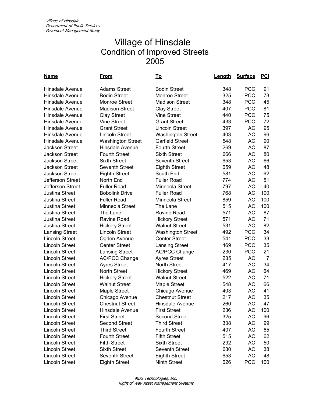| <u>Name</u>            | <u>From</u>              | <u>To</u>                | <u>Length</u> | <b>Surface</b> | <b>PCI</b>     |
|------------------------|--------------------------|--------------------------|---------------|----------------|----------------|
| Hinsdale Avenue        | <b>Adams Street</b>      | <b>Bodin Street</b>      | 348           | <b>PCC</b>     | 91             |
| <b>Hinsdale Avenue</b> | <b>Bodin Street</b>      | Monroe Street            | 325           | <b>PCC</b>     | 73             |
| <b>Hinsdale Avenue</b> | <b>Monroe Street</b>     | <b>Madison Street</b>    | 348           | <b>PCC</b>     | 45             |
| <b>Hinsdale Avenue</b> | <b>Madison Street</b>    | <b>Clay Street</b>       | 407           | <b>PCC</b>     | 81             |
| <b>Hinsdale Avenue</b> | <b>Clay Street</b>       | <b>Vine Street</b>       | 440           | <b>PCC</b>     | 75             |
| <b>Hinsdale Avenue</b> | <b>Vine Street</b>       | <b>Grant Street</b>      | 433           | <b>PCC</b>     | 72             |
| <b>Hinsdale Avenue</b> | <b>Grant Street</b>      | <b>Lincoln Street</b>    | 397           | <b>AC</b>      | 95             |
| <b>Hinsdale Avenue</b> | <b>Lincoln Street</b>    | <b>Washington Street</b> | 403           | АC             | 96             |
| <b>Hinsdale Avenue</b> | <b>Washington Street</b> | <b>Garfield Street</b>   | 548           | <b>AC</b>      | 90             |
| <b>Jackson Street</b>  | <b>Hinsdale Avenue</b>   | <b>Fourth Street</b>     | 269           | AC             | 87             |
| <b>Jackson Street</b>  | <b>Fourth Street</b>     | <b>Sixth Street</b>      | 666           | AC             | 80             |
| <b>Jackson Street</b>  | <b>Sixth Street</b>      | <b>Seventh Street</b>    | 653           | <b>AC</b>      | 66             |
| <b>Jackson Street</b>  | Seventh Street           | <b>Eighth Street</b>     | 659           | AC             | 48             |
| <b>Jackson Street</b>  | <b>Eighth Street</b>     | South End                | 581           | <b>AC</b>      | 62             |
| Jefferson Street       | North End                | <b>Fuller Road</b>       | 774           | <b>AC</b>      | 51             |
| Jefferson Street       | <b>Fuller Road</b>       | Minneola Street          | 797           | <b>AC</b>      | 40             |
| <b>Justina Street</b>  | <b>Bobolink Drive</b>    | <b>Fuller Road</b>       | 768           | AC             | 100            |
| <b>Justina Street</b>  | <b>Fuller Road</b>       | Minneola Street          | 859           | АC             | 100            |
| Justina Street         | Minneola Street          | The Lane                 | 515           | АC             | 100            |
| <b>Justina Street</b>  | The Lane                 | Ravine Road              | 571           | <b>AC</b>      | 87             |
| Justina Street         | Ravine Road              | <b>Hickory Street</b>    | 571           | <b>AC</b>      | 71             |
| Justina Street         | <b>Hickory Street</b>    | <b>Walnut Street</b>     | 531           | <b>AC</b>      | 82             |
| <b>Lansing Street</b>  | <b>Lincoln Street</b>    | <b>Washington Street</b> | 492           | <b>PCC</b>     | 34             |
| <b>Lincoln Street</b>  | Ogden Avenue             | <b>Center Street</b>     | 541           | <b>PCC</b>     | 33             |
| <b>Lincoln Street</b>  | <b>Center Street</b>     | <b>Lansing Street</b>    | 469           | <b>PCC</b>     | 35             |
| <b>Lincoln Street</b>  | <b>Lansing Street</b>    | <b>AC/PCC Change</b>     | 230           | <b>PCC</b>     | 21             |
| <b>Lincoln Street</b>  | <b>AC/PCC Change</b>     | <b>Ayres Street</b>      | 235           | AC             | $\overline{7}$ |
| <b>Lincoln Street</b>  | <b>Ayres Street</b>      | <b>North Street</b>      | 417           | <b>AC</b>      | 34             |
| <b>Lincoln Street</b>  | North Street             | <b>Hickory Street</b>    | 469           | AC             | 64             |
| <b>Lincoln Street</b>  | <b>Hickory Street</b>    | <b>Walnut Street</b>     | 522           | <b>AC</b>      | 71             |
| <b>Lincoln Street</b>  | <b>Walnut Street</b>     | Maple Street             | 548           | AC             | 66             |
| <b>Lincoln Street</b>  | <b>Maple Street</b>      | Chicago Avenue           | 403           | <b>AC</b>      | 41             |
| <b>Lincoln Street</b>  | Chicago Avenue           | <b>Chestnut Street</b>   | 217           | AC             | 35             |
| Lincoln Street         | <b>Chestnut Street</b>   | Hinsdale Avenue          | 260           | AC             | 47             |
| <b>Lincoln Street</b>  | Hinsdale Avenue          | <b>First Street</b>      | 236           | AC             | 100            |
| <b>Lincoln Street</b>  | <b>First Street</b>      | <b>Second Street</b>     | 325           | AC             | 96             |
| <b>Lincoln Street</b>  | <b>Second Street</b>     | <b>Third Street</b>      | 338           | AC             | 99             |
| <b>Lincoln Street</b>  | <b>Third Street</b>      | <b>Fourth Street</b>     | 407           | AC             | 65             |
| <b>Lincoln Street</b>  | <b>Fourth Street</b>     | <b>Fifth Street</b>      | 515           | AC             | 62             |
| <b>Lincoln Street</b>  | <b>Fifth Street</b>      | <b>Sixth Street</b>      | 292           | AC             | 50             |
| <b>Lincoln Street</b>  | <b>Sixth Street</b>      | Seventh Street           | 630           | AC             | 38             |
| <b>Lincoln Street</b>  | <b>Seventh Street</b>    | <b>Eighth Street</b>     | 653           | AC             | 48             |
| <b>Lincoln Street</b>  | <b>Eighth Street</b>     | Ninth Street             | 626           | <b>PCC</b>     | 100            |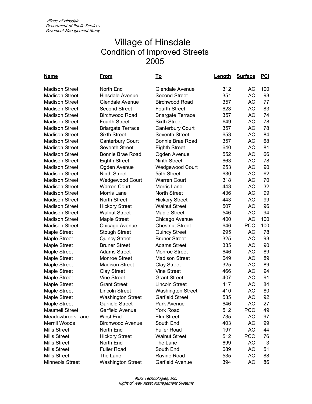| <u>Name</u>           | <u>From</u>              | <u>To</u>                |     | <b>Surface</b> | <u>PCI</u> |
|-----------------------|--------------------------|--------------------------|-----|----------------|------------|
| <b>Madison Street</b> | North End                | Glendale Avenue          | 312 | AC             | 100        |
| <b>Madison Street</b> | Hinsdale Avenue          | <b>Second Street</b>     | 351 | <b>AC</b>      | 93         |
| <b>Madison Street</b> | <b>Glendale Avenue</b>   | <b>Birchwood Road</b>    | 357 | AC             | 77         |
| <b>Madison Street</b> | <b>Second Street</b>     | <b>Fourth Street</b>     | 623 | AC             | 83         |
| <b>Madison Street</b> | <b>Birchwood Road</b>    | <b>Briargate Terrace</b> | 357 | AC             | 74         |
| <b>Madison Street</b> | <b>Fourth Street</b>     | <b>Sixth Street</b>      | 649 | AC             | 78         |
| <b>Madison Street</b> | <b>Briargate Terrace</b> | <b>Canterbury Court</b>  | 357 | <b>AC</b>      | 78         |
| <b>Madison Street</b> | <b>Sixth Street</b>      | <b>Seventh Street</b>    | 653 | AC             | 84         |
| <b>Madison Street</b> | Canterbury Court         | <b>Bonnie Brae Road</b>  | 357 | AC             | 68         |
| <b>Madison Street</b> | Seventh Street           | <b>Eighth Street</b>     | 640 | AC             | 81         |
| <b>Madison Street</b> | <b>Bonnie Brae Road</b>  | Ogden Avenue             | 552 | <b>AC</b>      | 66         |
| <b>Madison Street</b> | <b>Eighth Street</b>     | <b>Ninth Street</b>      | 663 | AC             | 78         |
| <b>Madison Street</b> | Ogden Avenue             | <b>Wedgewood Court</b>   | 253 | <b>AC</b>      | 90         |
| <b>Madison Street</b> | <b>Ninth Street</b>      | 55th Street              | 630 | <b>AC</b>      | 62         |
| <b>Madison Street</b> | <b>Wedgewood Court</b>   | <b>Warren Court</b>      | 318 | AC             | 70         |
| <b>Madison Street</b> | <b>Warren Court</b>      | Morris Lane              | 443 | AC             | 32         |
| <b>Madison Street</b> | Morris Lane              | <b>North Street</b>      | 436 | AC             | 99         |
| <b>Madison Street</b> | <b>North Street</b>      | <b>Hickory Street</b>    | 443 | AC             | 99         |
| <b>Madison Street</b> | <b>Hickory Street</b>    | <b>Walnut Street</b>     | 507 | <b>AC</b>      | 96         |
| <b>Madison Street</b> | <b>Walnut Street</b>     | Maple Street             | 546 | <b>AC</b>      | 94         |
| <b>Madison Street</b> | Maple Street             | Chicago Avenue           | 400 | <b>AC</b>      | 100        |
| <b>Madison Street</b> | Chicago Avenue           | <b>Chestnut Street</b>   | 646 | <b>PCC</b>     | 100        |
| Maple Street          | <b>Stough Street</b>     | <b>Quincy Street</b>     | 295 | АC             | 78         |
| Maple Street          | <b>Quincy Street</b>     | <b>Bruner Street</b>     | 325 | AC             | 93         |
| Maple Street          | <b>Bruner Street</b>     | <b>Adams Street</b>      | 335 | AC             | 90         |
| Maple Street          | <b>Adams Street</b>      | <b>Monroe Street</b>     | 646 | AC             | 89         |
| Maple Street          | <b>Monroe Street</b>     | <b>Madison Street</b>    | 649 | AC             | 89         |
| Maple Street          | <b>Madison Street</b>    | <b>Clay Street</b>       | 325 | AC             | 89         |
| <b>Maple Street</b>   | <b>Clay Street</b>       | <b>Vine Street</b>       | 466 | <b>AC</b>      | 94         |
| Maple Street          | <b>Vine Street</b>       | <b>Grant Street</b>      | 407 | <b>AC</b>      | 91         |
| Maple Street          | <b>Grant Street</b>      | <b>Lincoln Street</b>    | 417 | AC             | 84         |
| Maple Street          | <b>Lincoln Street</b>    | <b>Washington Street</b> | 410 | АC             | 80         |
| <b>Maple Street</b>   | <b>Washington Street</b> | <b>Garfield Street</b>   | 535 | <b>AC</b>      | 92         |
| Maple Street          | <b>Garfield Street</b>   | Park Avenue              | 646 | AC             | 27         |
| <b>Maumell Street</b> | Garfield Avenue          | York Road                | 512 | <b>PCC</b>     | 49         |
| Meadowbrook Lane      | West End                 | Elm Street               | 735 | AC             | 97         |
| Merrill Woods         | <b>Birchwood Avenue</b>  | South End                | 403 | AC             | 99         |
| Mills Street          | North End                | <b>Fuller Road</b>       | 197 | AC             | 44         |
| Mills Street          | <b>Hickory Street</b>    | <b>Walnut Street</b>     | 512 | <b>PCC</b>     | 76         |
| <b>Mills Street</b>   | North End                | The Lane                 | 699 | AC             | 3          |
| <b>Mills Street</b>   | <b>Fuller Road</b>       | South End                | 689 | AC             | 51         |
| <b>Mills Street</b>   | The Lane                 | Ravine Road              | 535 | АC             | 88         |
| Minneola Street       | <b>Washington Street</b> | Garfield Avenue          | 394 | AC             | 86         |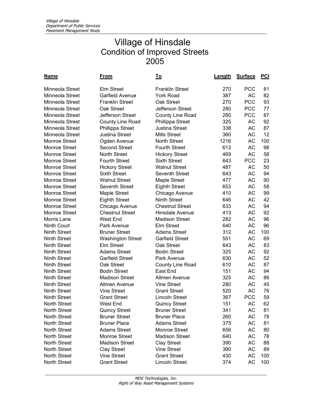| <u>Name</u>          | <u>From</u>              | <u>To</u>               | <u>Length</u> | <b>Surface</b> | <b>PCI</b> |
|----------------------|--------------------------|-------------------------|---------------|----------------|------------|
| Minneola Street      | <b>Elm Street</b>        | <b>Franklin Street</b>  | 270           | <b>PCC</b>     | 81         |
| Minneola Street      | <b>Garfield Avenue</b>   | <b>York Road</b>        | 387           | <b>AC</b>      | 82         |
| Minneola Street      | <b>Franklin Street</b>   | Oak Street              | 270           | <b>PCC</b>     | 93         |
| Minneola Street      | Oak Street               | Jefferson Street        | 280           | <b>PCC</b>     | 77         |
| Minneola Street      | Jefferson Street         | County Line Road        | 280           | <b>PCC</b>     | 87         |
| Minneola Street      | County Line Road         | <b>Phillippa Street</b> | 325           | <b>AC</b>      | 92         |
| Minneola Street      | Phillippa Street         | <b>Justina Street</b>   | 338           | <b>AC</b>      | 87         |
| Minneola Street      | <b>Justina Street</b>    | <b>Mills Street</b>     | 360           | AC             | 12         |
| Monroe Street        | Ogden Avenue             | <b>North Street</b>     | 1216          | AC             | 100        |
| Monroe Street        | <b>Second Street</b>     | <b>Fourth Street</b>    | 613           | <b>AC</b>      | 98         |
| <b>Monroe Street</b> | <b>North Street</b>      | <b>Hickory Street</b>   | 469           | <b>AC</b>      | 58         |
| Monroe Street        | <b>Fourth Street</b>     | <b>Sixth Street</b>     | 643           | <b>PCC</b>     | 23         |
| Monroe Street        | <b>Hickory Street</b>    | <b>Walnut Street</b>    | 487           | <b>AC</b>      | 50         |
| Monroe Street        | <b>Sixth Street</b>      | Seventh Street          | 643           | <b>AC</b>      | 94         |
| Monroe Street        | <b>Walnut Street</b>     | <b>Maple Street</b>     | 477           | <b>AC</b>      | 90         |
| Monroe Street        | Seventh Street           | <b>Eighth Street</b>    | 653           | <b>AC</b>      | 58         |
| <b>Monroe Street</b> | Maple Street             | Chicago Avenue          | 410           | АC             | 99         |
| Monroe Street        | <b>Eighth Street</b>     | <b>Ninth Street</b>     | 646           | <b>AC</b>      | 42         |
| <b>Monroe Street</b> | Chicago Avenue           | <b>Chestnut Street</b>  | 633           | AC             | 94         |
| Monroe Street        | <b>Chestnut Street</b>   | Hinsdale Avenue         | 413           | AC             | 92         |
| Morris Lane          | West End                 | <b>Madison Street</b>   | 282           | <b>AC</b>      | 96         |
| Ninth Court          | Park Avenue              | Elm Street              | 640           | <b>AC</b>      | 96         |
| <b>Ninth Street</b>  | <b>Bruner Street</b>     | <b>Adams Street</b>     | 312           | <b>AC</b>      | 100        |
| <b>Ninth Street</b>  | <b>Washington Street</b> | <b>Garfield Street</b>  | 551           | AC             | 69         |
| <b>Ninth Street</b>  | <b>Elm Street</b>        | Oak Street              | 643           | AC             | 83         |
| <b>Ninth Street</b>  | <b>Adams Street</b>      | <b>Bodin Street</b>     | 325           | AC             | 92         |
| <b>Ninth Street</b>  | <b>Garfield Street</b>   | Park Avenue             | 630           | AC             | 52         |
| <b>Ninth Street</b>  | Oak Street               | County Line Road        | 610           | AC             | 87         |
| <b>Ninth Street</b>  | <b>Bodin Street</b>      | East End                | 151           | <b>AC</b>      | 94         |
| <b>Ninth Street</b>  | <b>Madison Street</b>    | Allmen Avenue           | 325           | <b>AC</b>      | 86         |
| <b>Ninth Street</b>  | Allmen Avenue            | Vine Street             | 280           | <b>AC</b>      | 45         |
| <b>Ninth Street</b>  | <b>Vine Street</b>       | <b>Grant Street</b>     | 520           | <b>AC</b>      | 76         |
| <b>Ninth Street</b>  | <b>Grant Street</b>      | <b>Lincoln Street</b>   | 367           | <b>PCC</b>     | 59         |
| North Street         | West End                 | <b>Quincy Street</b>    | 151           | AC             | 62         |
| North Street         | <b>Quincy Street</b>     | <b>Bruner Street</b>    | 341           | AC             | 81         |
| <b>North Street</b>  | <b>Bruner Street</b>     | <b>Bruner Place</b>     | 260           | AC             | 78         |
| North Street         | <b>Bruner Place</b>      | <b>Adams Street</b>     | 375           | AC             | 81         |
| North Street         | <b>Adams Street</b>      | Monroe Street           | 656           | AC             | 80         |
| North Street         | Monroe Street            | <b>Madison Street</b>   | 640           | AC             | 78         |
| North Street         | <b>Madison Street</b>    | <b>Clay Street</b>      | 390           | AC             | 88         |
| <b>North Street</b>  | <b>Clay Street</b>       | <b>Vine Street</b>      | 390           | AC             | 89         |
| North Street         | <b>Vine Street</b>       | <b>Grant Street</b>     | 430           | AC             | 100        |
| North Street         | <b>Grant Street</b>      | Lincoln Street          | 374           | AC             | 100        |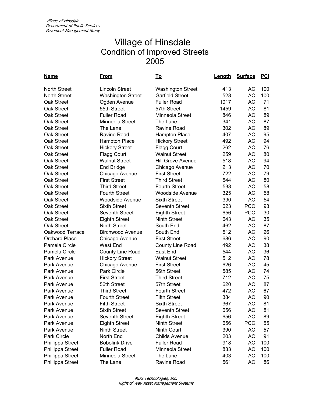| <u>Name</u>             | <u>From</u>              | <u>To</u>                | <b>Length</b> | <b>Surface</b> | $PCI$ |
|-------------------------|--------------------------|--------------------------|---------------|----------------|-------|
| <b>North Street</b>     | <b>Lincoln Street</b>    | <b>Washington Street</b> | 413           | AC             | 100   |
| <b>North Street</b>     | <b>Washington Street</b> | <b>Garfield Street</b>   | 528           | <b>AC</b>      | 100   |
| Oak Street              | Ogden Avenue             | <b>Fuller Road</b>       | 1017          | АC             | 71    |
| Oak Street              | 55th Street              | 57th Street              | 1459          | AC             | 81    |
| Oak Street              | <b>Fuller Road</b>       | Minneola Street          | 846           | AC             | 89    |
| Oak Street              | Minneola Street          | The Lane                 | 341           | AC             | 87    |
| Oak Street              | The Lane                 | <b>Ravine Road</b>       | 302           | AC             | 89    |
| Oak Street              | <b>Ravine Road</b>       | <b>Hampton Place</b>     | 407           | AC             | 95    |
| Oak Street              | <b>Hampton Place</b>     | <b>Hickory Street</b>    | 492           | <b>AC</b>      | 94    |
| Oak Street              | <b>Hickory Street</b>    | <b>Flagg Court</b>       | 262           | AC             | 76    |
| Oak Street              | <b>Flagg Court</b>       | <b>Walnut Street</b>     | 259           | AC             | 80    |
| Oak Street              | <b>Walnut Street</b>     | <b>Hill Grove Avenue</b> | 518           | AC             | 94    |
| Oak Street              | End Bridge               | Chicago Avenue           | 213           | <b>AC</b>      | 70    |
| Oak Street              | Chicago Avenue           | <b>First Street</b>      | 722           | AC             | 79    |
| Oak Street              | <b>First Street</b>      | <b>Third Street</b>      | 544           | <b>AC</b>      | 80    |
| Oak Street              | <b>Third Street</b>      | <b>Fourth Street</b>     | 538           | <b>AC</b>      | 58    |
| Oak Street              | <b>Fourth Street</b>     | <b>Woodside Avenue</b>   | 325           | <b>AC</b>      | 58    |
| Oak Street              | <b>Woodside Avenue</b>   | <b>Sixth Street</b>      | 390           | <b>AC</b>      | 54    |
| Oak Street              | <b>Sixth Street</b>      | <b>Seventh Street</b>    | 623           | <b>PCC</b>     | 93    |
| Oak Street              | <b>Seventh Street</b>    | <b>Eighth Street</b>     | 656           | <b>PCC</b>     | 30    |
| Oak Street              | <b>Eighth Street</b>     | <b>Ninth Street</b>      | 643           | <b>AC</b>      | 35    |
| Oak Street              | <b>Ninth Street</b>      | South End                | 462           | AC             | 87    |
| Oakwood Terrace         | <b>Birchwood Avenue</b>  | South End                | 512           | <b>AC</b>      | 26    |
| <b>Orchard Place</b>    | Chicago Avenue           | <b>First Street</b>      | 686           | AC             | 90    |
| Pamela Circle           | West End                 | County Line Road         | 492           | AC             | 38    |
| Pamela Circle           | County Line Road         | East End                 | 544           | AC             | 36    |
| Park Avenue             | <b>Hickory Street</b>    | <b>Walnut Street</b>     | 512           | AC             | 78    |
| Park Avenue             | Chicago Avenue           | <b>First Street</b>      | 626           | AC             | 45    |
| Park Avenue             | Park Circle              | 56th Street              | 585           | AC             | 74    |
| Park Avenue             | <b>First Street</b>      | <b>Third Street</b>      | 712           | AC             | 75    |
| Park Avenue             | 56th Street              | 57th Street              | 620           | <b>AC</b>      | 87    |
| Park Avenue             | <b>Third Street</b>      | <b>Fourth Street</b>     | 472           | <b>AC</b>      | 67    |
| Park Avenue             | <b>Fourth Street</b>     | <b>Fifth Street</b>      | 384           | <b>AC</b>      | 90    |
| Park Avenue             | <b>Fifth Street</b>      | <b>Sixth Street</b>      | 367           | АC             | 81    |
| Park Avenue             | <b>Sixth Street</b>      | <b>Seventh Street</b>    | 656           | AC             | 81    |
| Park Avenue             | Seventh Street           | <b>Eighth Street</b>     | 656           | AC             | 89    |
| Park Avenue             | <b>Eighth Street</b>     | Ninth Street             | 656           | <b>PCC</b>     | 55    |
| Park Avenue             | Ninth Street             | Ninth Court              | 390           | AC             | 57    |
| Park Circle             | North End                | <b>Childs Avenue</b>     | 203           | AC             | 91    |
| <b>Phillippa Street</b> | <b>Bobolink Drive</b>    | <b>Fuller Road</b>       | 918           | AC             | 100   |
| Phillippa Street        | <b>Fuller Road</b>       | Minneola Street          | 833           | AC             | 100   |
| Phillippa Street        | Minneola Street          | The Lane                 | 403           | AC             | 100   |
| Phillippa Street        | The Lane                 | Ravine Road              | 561           | AC             | 86    |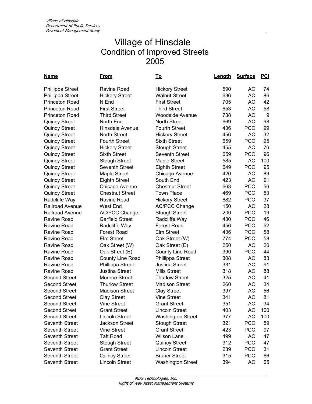| <u>Name</u>             | From                   | <u>To</u>                | Length | <b>Surface</b> | <u>PCI</u> |
|-------------------------|------------------------|--------------------------|--------|----------------|------------|
| <b>Phillippa Street</b> | Ravine Road            | <b>Hickory Street</b>    | 590    | AC             | 74         |
| Phillippa Street        | <b>Hickory Street</b>  | <b>Walnut Street</b>     | 636    | AC             | 86         |
| <b>Princeton Road</b>   | N End                  | <b>First Street</b>      | 705    | AC             | 42         |
| <b>Princeton Road</b>   | <b>First Street</b>    | <b>Third Street</b>      | 653    | AC             | 58         |
| <b>Princeton Road</b>   | <b>Third Street</b>    | <b>Woodside Avenue</b>   | 738    | AC             | 9          |
| <b>Quincy Street</b>    | North End              | <b>North Street</b>      | 669    | AC             | 98         |
| <b>Quincy Street</b>    | Hinsdale Avenue        | <b>Fourth Street</b>     | 436    | <b>PCC</b>     | 99         |
| <b>Quincy Street</b>    | <b>North Street</b>    | <b>Hickory Street</b>    | 456    | AC             | 32         |
| <b>Quincy Street</b>    | <b>Fourth Street</b>   | <b>Sixth Street</b>      | 659    | <b>PCC</b>     | 95         |
| <b>Quincy Street</b>    | <b>Hickory Street</b>  | <b>Stough Street</b>     | 455    | AC             | 76         |
| <b>Quincy Street</b>    | <b>Sixth Street</b>    | Seventh Street           | 659    | <b>PCC</b>     | 96         |
| <b>Quincy Street</b>    | <b>Stough Street</b>   | <b>Maple Street</b>      | 585    | <b>AC</b>      | 100        |
| <b>Quincy Street</b>    | Seventh Street         | <b>Eighth Street</b>     | 649    | <b>PCC</b>     | 95         |
| <b>Quincy Street</b>    | Maple Street           | Chicago Avenue           | 420    | AC             | 89         |
| <b>Quincy Street</b>    | <b>Eighth Street</b>   | South End                | 423    | AC             | 91         |
| <b>Quincy Street</b>    | Chicago Avenue         | <b>Chestnut Street</b>   | 663    | <b>PCC</b>     | 56         |
| <b>Quincy Street</b>    | <b>Chestnut Street</b> | <b>Town Place</b>        | 469    | <b>PCC</b>     | 53         |
| Radcliffe Way           | <b>Ravine Road</b>     | <b>Hickory Street</b>    | 682    | <b>PCC</b>     | 37         |
| <b>Railroad Avenue</b>  | West End               | <b>AC/PCC Change</b>     | 150    | AC             | 28         |
| Railroad Avenue         | <b>AC/PCC Change</b>   | <b>Stough Street</b>     | 200    | <b>PCC</b>     | 19         |
| Ravine Road             | <b>Garfield Street</b> | Radcliffe Way            | 430    | <b>PCC</b>     | 46         |
| Ravine Road             | Radcliffe Way          | <b>Forest Road</b>       | 456    | <b>PCC</b>     | 52         |
| Ravine Road             | <b>Forest Road</b>     | <b>Elm Street</b>        | 436    | <b>PCC</b>     | 58         |
| Ravine Road             | <b>Elm Street</b>      | Oak Street (W)           | 774    | <b>PCC</b>     | 58         |
| Ravine Road             | Oak Street (W)         | Oak Street (E)           | 250    | AC             | 20         |
| Ravine Road             | Oak Street (E)         | <b>County Line Road</b>  | 390    | <b>PCC</b>     | 44         |
| Ravine Road             | County Line Road       | Phillippa Street         | 308    | AC             | 83         |
| Ravine Road             | Phillippa Street       | <b>Justina Street</b>    | 331    | AC             | 91         |
| <b>Ravine Road</b>      | <b>Justina Street</b>  | <b>Mills Street</b>      | 318    | AC             | 88         |
| <b>Second Street</b>    | Monroe Street          | <b>Thurlow Street</b>    | 325    | AC             | 41         |
| <b>Second Street</b>    | <b>Thurlow Street</b>  | <b>Madison Street</b>    | 260    | AC             | 34         |
| <b>Second Street</b>    | <b>Madison Street</b>  | <b>Clay Street</b>       | 397    | <b>AC</b>      | 56         |
| <b>Second Street</b>    | <b>Clay Street</b>     | <b>Vine Street</b>       | 341    | AC             | 81         |
| <b>Second Street</b>    | <b>Vine Street</b>     | <b>Grant Street</b>      | 351    | <b>AC</b>      | 34         |
| <b>Second Street</b>    | <b>Grant Street</b>    | <b>Lincoln Street</b>    | 403    | AC             | 100        |
| <b>Second Street</b>    | <b>Lincoln Street</b>  | <b>Washington Street</b> | 377    | AC             | 100        |
| Seventh Street          | Jackson Street         | <b>Stough Street</b>     | 321    | <b>PCC</b>     | 59         |
| Seventh Street          | <b>Vine Street</b>     | <b>Grant Street</b>      | 423    | <b>PCC</b>     | 97         |
| Seventh Street          | <b>Taft Road</b>       | Wilson Lane              | 499    | AC             | 47         |
| <b>Seventh Street</b>   | <b>Stough Street</b>   | <b>Quincy Street</b>     | 312    | <b>PCC</b>     | 47         |
| Seventh Street          | <b>Grant Street</b>    | <b>Lincoln Street</b>    | 239    | <b>PCC</b>     | 31         |
| Seventh Street          | <b>Quincy Street</b>   | <b>Bruner Street</b>     | 315    | <b>PCC</b>     | 66         |
| Seventh Street          | Lincoln Street         | <b>Washington Street</b> | 394    | AC             | 65         |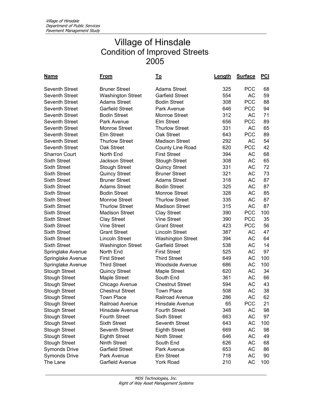| <u>Name</u>           | <u>From</u>              | <u>To</u>                | Length | <b>Surface</b> | <u>PCI</u> |
|-----------------------|--------------------------|--------------------------|--------|----------------|------------|
| <b>Seventh Street</b> | <b>Bruner Street</b>     | <b>Adams Street</b>      | 325    | <b>PCC</b>     | 68         |
| <b>Seventh Street</b> | <b>Washington Street</b> | <b>Garfield Street</b>   | 554    | <b>AC</b>      | 59         |
| <b>Seventh Street</b> | <b>Adams Street</b>      | <b>Bodin Street</b>      | 308    | <b>PCC</b>     | 88         |
| <b>Seventh Street</b> | <b>Garfield Street</b>   | Park Avenue              | 646    | <b>PCC</b>     | 94         |
| <b>Seventh Street</b> | <b>Bodin Street</b>      | <b>Monroe Street</b>     | 312    | <b>AC</b>      | 71         |
| <b>Seventh Street</b> | Park Avenue              | <b>Elm Street</b>        | 656    | <b>PCC</b>     | 89         |
| <b>Seventh Street</b> | Monroe Street            | <b>Thurlow Street</b>    | 331    | <b>AC</b>      | 65         |
| <b>Seventh Street</b> | Elm Street               | Oak Street               | 643    | <b>PCC</b>     | 89         |
| <b>Seventh Street</b> | <b>Thurlow Street</b>    | <b>Madison Street</b>    | 292    | <b>AC</b>      | 54         |
| <b>Seventh Street</b> | Oak Street               | <b>County Line Road</b>  | 620    | <b>PCC</b>     | 42         |
| <b>Sharron Court</b>  | North End                | <b>First Street</b>      | 394    | <b>AC</b>      | 68         |
| <b>Sixth Street</b>   | <b>Jackson Street</b>    | <b>Stough Street</b>     | 308    | <b>AC</b>      | 65         |
| <b>Sixth Street</b>   | <b>Stough Street</b>     | <b>Quincy Street</b>     | 331    | <b>AC</b>      | 72         |
| <b>Sixth Street</b>   | <b>Quincy Street</b>     | <b>Bruner Street</b>     | 321    | <b>AC</b>      | 73         |
| <b>Sixth Street</b>   | <b>Bruner Street</b>     | <b>Adams Street</b>      | 318    | <b>AC</b>      | 87         |
| <b>Sixth Street</b>   | <b>Adams Street</b>      | <b>Bodin Street</b>      | 325    | <b>AC</b>      | 87         |
| <b>Sixth Street</b>   | <b>Bodin Street</b>      | <b>Monroe Street</b>     | 328    | АC             | 85         |
| <b>Sixth Street</b>   | Monroe Street            | <b>Thurlow Street</b>    | 335    | АC             | 87         |
| <b>Sixth Street</b>   | <b>Thurlow Street</b>    | <b>Madison Street</b>    | 315    | <b>AC</b>      | 87         |
| <b>Sixth Street</b>   | <b>Madison Street</b>    | <b>Clay Street</b>       | 390    | <b>PCC</b>     | 100        |
| <b>Sixth Street</b>   | <b>Clay Street</b>       | <b>Vine Street</b>       | 390    | <b>PCC</b>     | 35         |
| <b>Sixth Street</b>   | <b>Vine Street</b>       | <b>Grant Street</b>      | 423    | <b>PCC</b>     | 56         |
| <b>Sixth Street</b>   | <b>Grant Street</b>      | <b>Lincoln Street</b>    | 387    | <b>AC</b>      | 47         |
| <b>Sixth Street</b>   | <b>Lincoln Street</b>    | <b>Washington Street</b> | 394    | AC             | 64         |
| <b>Sixth Street</b>   | <b>Washington Street</b> | <b>Garfield Street</b>   | 538    | <b>AC</b>      | 14         |
| Springlake Avenue     | North End                | <b>First Street</b>      | 525    | AC             | 97         |
| Springlake Avenue     | <b>First Street</b>      | <b>Third Street</b>      | 649    | <b>AC</b>      | 100        |
| Springlake Avenue     | <b>Third Street</b>      | <b>Woodside Avenue</b>   | 686    | AC             | 100        |
| <b>Stough Street</b>  | <b>Quincy Street</b>     | Maple Street             | 620    | <b>AC</b>      | 34         |
| <b>Stough Street</b>  | <b>Maple Street</b>      | South End                | 361    | <b>AC</b>      | 66         |
| <b>Stough Street</b>  | Chicago Avenue           | <b>Chestnut Street</b>   | 594    | <b>AC</b>      | 43         |
| <b>Stough Street</b>  | <b>Chestnut Street</b>   | <b>Town Place</b>        | 508    | AC             | 38         |
| <b>Stough Street</b>  | <b>Town Place</b>        | <b>Railroad Avenue</b>   | 286    | AC             | 62         |
| <b>Stough Street</b>  | Railroad Avenue          | Hinsdale Avenue          | 65     | <b>PCC</b>     | 21         |
| <b>Stough Street</b>  | Hinsdale Avenue          | <b>Fourth Street</b>     | 348    | AC             | 98         |
| <b>Stough Street</b>  | <b>Fourth Street</b>     | <b>Sixth Street</b>      | 663    | AC             | 97         |
| <b>Stough Street</b>  | <b>Sixth Street</b>      | Seventh Street           | 643    | AC             | 100        |
| <b>Stough Street</b>  | Seventh Street           | <b>Eighth Street</b>     | 669    | AC             | 98         |
| <b>Stough Street</b>  | <b>Eighth Street</b>     | Ninth Street             | 646    | AC             | 49         |
| <b>Stough Street</b>  | Ninth Street             | South End                | 626    | AC             | 68         |
| <b>Symonds Drive</b>  | <b>Garfield Street</b>   | Park Avenue              | 653    | AC             | 86         |
| <b>Symonds Drive</b>  | Park Avenue              | <b>Elm Street</b>        | 718    | AC             | 90         |
| The Lane              | Garfield Avenue          | York Road                | 210    | AC             | 100        |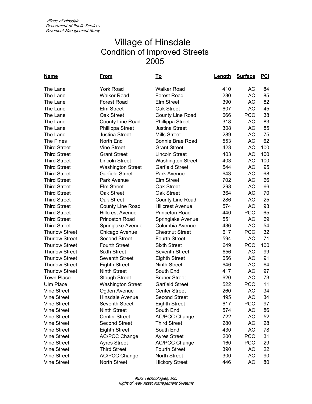| <u>Name</u>           | <u>From</u>              | Τo                       | Length | <b>Surface</b> | $PCI$ |
|-----------------------|--------------------------|--------------------------|--------|----------------|-------|
| The Lane              | <b>York Road</b>         | <b>Walker Road</b>       | 410    | АC             | 84    |
| The Lane              | <b>Walker Road</b>       | <b>Forest Road</b>       | 230    | AC             | 85    |
| The Lane              | <b>Forest Road</b>       | <b>Elm Street</b>        | 390    | AC             | 82    |
| The Lane              | <b>Elm Street</b>        | Oak Street               | 607    | AC             | 45    |
| The Lane              | Oak Street               | County Line Road         | 666    | <b>PCC</b>     | 38    |
| The Lane              | County Line Road         | <b>Phillippa Street</b>  | 318    | AC             | 83    |
| The Lane              | Phillippa Street         | <b>Justina Street</b>    | 308    | AC             | 85    |
| The Lane              | Justina Street           | <b>Mills Street</b>      | 289    | AC             | 75    |
| The Pines             | North End                | <b>Bonnie Brae Road</b>  | 553    | AC             | 62    |
| <b>Third Street</b>   | <b>Vine Street</b>       | <b>Grant Street</b>      | 423    | AC             | 100   |
| <b>Third Street</b>   | <b>Grant Street</b>      | <b>Lincoln Street</b>    | 403    | <b>AC</b>      | 100   |
| <b>Third Street</b>   | <b>Lincoln Street</b>    | <b>Washington Street</b> | 403    | AC             | 100   |
| <b>Third Street</b>   | <b>Washington Street</b> | <b>Garfield Street</b>   | 544    | AC             | 95    |
| <b>Third Street</b>   | <b>Garfield Street</b>   | Park Avenue              | 643    | AC             | 68    |
| <b>Third Street</b>   | Park Avenue              | <b>Elm Street</b>        | 702    | AC             | 66    |
| <b>Third Street</b>   | <b>Elm Street</b>        | Oak Street               | 298    | AC             | 66    |
| <b>Third Street</b>   | Oak Street               | Oak Street               | 364    | AC             | 70    |
| <b>Third Street</b>   | Oak Street               | County Line Road         | 286    | AC             | 25    |
| <b>Third Street</b>   | County Line Road         | <b>Hillcrest Avenue</b>  | 574    | AC             | 93    |
| <b>Third Street</b>   | <b>Hillcrest Avenue</b>  | <b>Princeton Road</b>    | 440    | <b>PCC</b>     | 65    |
| <b>Third Street</b>   | Princeton Road           | Springlake Avenue        | 551    | AC             | 69    |
| <b>Third Street</b>   | Springlake Avenue        | Columbia Avenue          | 436    | AC             | 54    |
| <b>Thurlow Street</b> | Chicago Avenue           | <b>Chestnut Street</b>   | 617    | <b>PCC</b>     | 32    |
| <b>Thurlow Street</b> | <b>Second Street</b>     | <b>Fourth Street</b>     | 594    | AC             | 71    |
| <b>Thurlow Street</b> | <b>Fourth Street</b>     | <b>Sixth Street</b>      | 649    | <b>PCC</b>     | 100   |
| <b>Thurlow Street</b> | <b>Sixth Street</b>      | <b>Seventh Street</b>    | 656    | <b>AC</b>      | 99    |
| <b>Thurlow Street</b> | Seventh Street           | <b>Eighth Street</b>     | 656    | AC             | 91    |
| <b>Thurlow Street</b> | <b>Eighth Street</b>     | <b>Ninth Street</b>      | 646    | AC             | 64    |
| <b>Thurlow Street</b> | Ninth Street             | South End                | 417    | AC             | 97    |
| <b>Town Place</b>     | <b>Stough Street</b>     | <b>Bruner Street</b>     | 620    | AC             | 73    |
| <b>Ulm Place</b>      | <b>Washington Street</b> | <b>Garfield Street</b>   | 522    | <b>PCC</b>     | 11    |
| <b>Vine Street</b>    | Ogden Avenue             | <b>Center Street</b>     | 260    | <b>AC</b>      | 34    |
| <b>Vine Street</b>    | Hinsdale Avenue          | <b>Second Street</b>     | 495    | AC             | 34    |
| Vine Street           | Seventh Street           | <b>Eighth Street</b>     | 617    | PCC            | 97    |
| <b>Vine Street</b>    | Ninth Street             | South End                | 574    | AC             | 86    |
| <b>Vine Street</b>    | <b>Center Street</b>     | <b>AC/PCC Change</b>     | 722    | AC             | 52    |
| <b>Vine Street</b>    | <b>Second Street</b>     | <b>Third Street</b>      | 280    | AC             | 28    |
| <b>Vine Street</b>    | <b>Eighth Street</b>     | South End                | 430    | AC             | 78    |
| <b>Vine Street</b>    | <b>AC/PCC Change</b>     | <b>Ayres Street</b>      | 200    | <b>PCC</b>     | 31    |
| <b>Vine Street</b>    | <b>Ayres Street</b>      | <b>AC/PCC Change</b>     | 160    | <b>PCC</b>     | 29    |
| <b>Vine Street</b>    | <b>Third Street</b>      | <b>Fourth Street</b>     | 390    | AC             | 22    |
| <b>Vine Street</b>    | <b>AC/PCC Change</b>     | North Street             | 300    | AC             | 90    |
| Vine Street           | North Street             | <b>Hickory Street</b>    | 446    | AC             | 80    |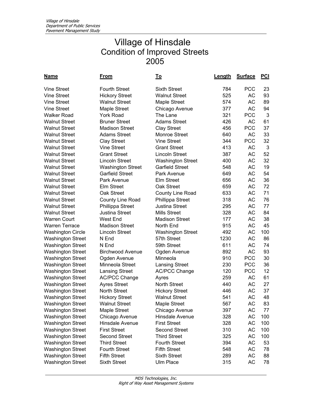| <u>Name</u>              | <u>From</u>              | <u>To</u>                | <u>Length</u> | <b>Surface</b> | <u>PCI</u> |
|--------------------------|--------------------------|--------------------------|---------------|----------------|------------|
| <b>Vine Street</b>       | <b>Fourth Street</b>     | <b>Sixth Street</b>      | 784           | <b>PCC</b>     | 23         |
| <b>Vine Street</b>       | <b>Hickory Street</b>    | <b>Walnut Street</b>     | 525           | AC             | 93         |
| <b>Vine Street</b>       | <b>Walnut Street</b>     | Maple Street             | 574           | АC             | 89         |
| <b>Vine Street</b>       | <b>Maple Street</b>      | Chicago Avenue           | 377           | АC             | 94         |
| <b>Walker Road</b>       | <b>York Road</b>         | The Lane                 | 321           | <b>PCC</b>     | 3          |
| <b>Walnut Street</b>     | <b>Bruner Street</b>     | <b>Adams Street</b>      | 426           | <b>AC</b>      | 61         |
| <b>Walnut Street</b>     | <b>Madison Street</b>    | <b>Clay Street</b>       | 456           | <b>PCC</b>     | 37         |
| <b>Walnut Street</b>     | <b>Adams Street</b>      | <b>Monroe Street</b>     | 640           | AC             | 33         |
| <b>Walnut Street</b>     | <b>Clay Street</b>       | <b>Vine Street</b>       | 344           | <b>PCC</b>     | 32         |
| <b>Walnut Street</b>     | <b>Vine Street</b>       | <b>Grant Street</b>      | 413           | AC             | 3          |
| <b>Walnut Street</b>     | <b>Grant Street</b>      | <b>Lincoln Street</b>    | 387           | <b>AC</b>      | 52         |
| <b>Walnut Street</b>     | <b>Lincoln Street</b>    | <b>Washington Street</b> | 400           | AC             | 32         |
| <b>Walnut Street</b>     | <b>Washington Street</b> | Garfield Street          | 548           | AC             | 19         |
| <b>Walnut Street</b>     | <b>Garfield Street</b>   | Park Avenue              | 649           | AC             | 54         |
| <b>Walnut Street</b>     | Park Avenue              | <b>Elm Street</b>        | 656           | <b>AC</b>      | 36         |
| <b>Walnut Street</b>     | Elm Street               | Oak Street               | 659           | <b>AC</b>      | 72         |
| <b>Walnut Street</b>     | Oak Street               | County Line Road         | 633           | AC             | 71         |
| <b>Walnut Street</b>     | County Line Road         | Phillippa Street         | 318           | AC             | 76         |
| <b>Walnut Street</b>     | Phillippa Street         | <b>Justina Street</b>    | 295           | АC             | 77         |
| <b>Walnut Street</b>     | <b>Justina Street</b>    | <b>Mills Street</b>      | 328           | АC             | 84         |
| <b>Warren Court</b>      | West End                 | <b>Madison Street</b>    | 177           | <b>AC</b>      | 38         |
| <b>Warren Terrace</b>    | <b>Madison Street</b>    | North End                | 915           | <b>AC</b>      | 45         |
| <b>Washington Circle</b> | <b>Lincoln Street</b>    | <b>Washington Street</b> | 492           | AC             | 100        |
| <b>Washington Street</b> | N End                    | 57th Street              | 1230          | <b>AC</b>      | 86         |
| <b>Washington Street</b> | N End                    | 59th Street              | 611           | <b>AC</b>      | 74         |
| <b>Washington Street</b> | <b>Birchwood Avenue</b>  | Ogden Avenue             | 892           | <b>AC</b>      | 93         |
| <b>Washington Street</b> | Ogden Avenue             | Minneola                 | 910           | <b>PCC</b>     | 30         |
| <b>Washington Street</b> | Minneola Street          | <b>Lansing Street</b>    | 230           | <b>PCC</b>     | 36         |
| <b>Washington Street</b> | <b>Lansing Street</b>    | <b>AC/PCC Change</b>     | 120           | <b>PCC</b>     | 12         |
| <b>Washington Street</b> | <b>AC/PCC Change</b>     | Ayres                    | 259           | <b>AC</b>      | 61         |
| <b>Washington Street</b> | <b>Ayres Street</b>      | <b>North Street</b>      | 440           | <b>AC</b>      | 27         |
| <b>Washington Street</b> | North Street             | <b>Hickory Street</b>    | 446           | AC             | 37         |
| <b>Washington Street</b> | <b>Hickory Street</b>    | <b>Walnut Street</b>     | 541           | <b>AC</b>      | 48         |
| Washington Street        | <b>Walnut Street</b>     | Maple Street             | 567           | АC             | 83         |
| <b>Washington Street</b> | Maple Street             | Chicago Avenue           | 397           | AC             | 77         |
| <b>Washington Street</b> | Chicago Avenue           | Hinsdale Avenue          | 328           | AC             | 100        |
| <b>Washington Street</b> | Hinsdale Avenue          | <b>First Street</b>      | 328           | AC             | 100        |
| <b>Washington Street</b> | <b>First Street</b>      | <b>Second Street</b>     | 310           | AC             | 100        |
| <b>Washington Street</b> | <b>Second Street</b>     | <b>Third Street</b>      | 325           | $\sf AC$       | 100        |
| <b>Washington Street</b> | <b>Third Street</b>      | <b>Fourth Street</b>     | 394           | АC             | 53         |
| <b>Washington Street</b> | <b>Fourth Street</b>     | <b>Fifth Street</b>      | 548           | AC             | 78         |
| <b>Washington Street</b> | <b>Fifth Street</b>      | <b>Sixth Street</b>      | 289           | AC             | 88         |
| <b>Washington Street</b> | <b>Sixth Street</b>      | Ulm Place                | 315           | AC             | 78         |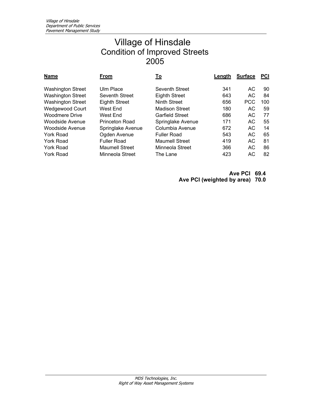| <b>Name</b>              | From                  | <u>To</u>             | Length | <b>Surface</b> | <b>PCI</b> |
|--------------------------|-----------------------|-----------------------|--------|----------------|------------|
| <b>Washington Street</b> | Ulm Place             | Seventh Street        | 341    | AC.            | 90         |
| <b>Washington Street</b> | Seventh Street        | <b>Eighth Street</b>  | 643    | AC.            | 84         |
| <b>Washington Street</b> | <b>Eighth Street</b>  | Ninth Street          | 656    | <b>PCC</b>     | 100        |
| <b>Wedgewood Court</b>   | West End              | <b>Madison Street</b> | 180    | AC             | 59         |
| <b>Woodmere Drive</b>    | West End              | Garfield Street       | 686    | AC.            | 77         |
| <b>Woodside Avenue</b>   | <b>Princeton Road</b> | Springlake Avenue     | 171    | AC.            | 55         |
| Woodside Avenue          | Springlake Avenue     | Columbia Avenue       | 672    | AC.            | 14         |
| York Road                | Ogden Avenue          | <b>Fuller Road</b>    | 543    | AC.            | 65         |
| York Road                | <b>Fuller Road</b>    | <b>Maumell Street</b> | 419    | AC.            | 81         |
| <b>York Road</b>         | <b>Maumell Street</b> | Minneola Street       | 366    | AC             | 86         |
| York Road                | Minneola Street       | The Lane              | 423    | AC             | 82         |

**Ave PCI 69.4 Ave PCI (weighted by area) 70.0**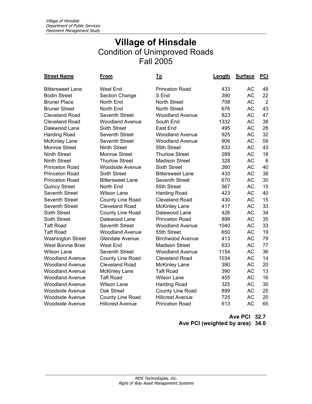#### **Village of Hinsdale**  Condition of Unimproved Roads Fall 2005

| <b>Street Name</b>       | <u>From</u>             | <u>To</u>               | Length | <b>Surface</b> | <b>PCI</b>      |
|--------------------------|-------------------------|-------------------------|--------|----------------|-----------------|
| <b>Bittersweet Lane</b>  | <b>West End</b>         | <b>Princeton Road</b>   | 433    | AC             | 48              |
| <b>Bodin Street</b>      | Section Change          | S End                   | 390    | <b>AC</b>      | 22              |
| <b>Bruner Place</b>      | North End               | <b>North Street</b>     | 708    | <b>AC</b>      | $\overline{2}$  |
| <b>Bruner Street</b>     | North End               | <b>North Street</b>     | 676    | <b>AC</b>      | 43              |
| <b>Cleveland Road</b>    | Seventh Street          | <b>Woodland Avenue</b>  | 823    | <b>AC</b>      | 47              |
| <b>Cleveland Road</b>    | <b>Woodland Avenue</b>  | South End               | 1332   | <b>AC</b>      | 38              |
| Dalewood Lane            | <b>Sixth Street</b>     | East End                | 495    | <b>AC</b>      | 28              |
| <b>Harding Road</b>      | <b>Seventh Street</b>   | <b>Woodland Avenue</b>  | 925    | <b>AC</b>      | 32              |
| <b>McKinley Lane</b>     | Seventh Street          | <b>Woodland Avenue</b>  | 906    | <b>AC</b>      | 59              |
| <b>Monroe Street</b>     | <b>Ninth Street</b>     | 55th Street             | 633    | <b>AC</b>      | 43              |
| <b>Ninth Street</b>      | Monroe Street           | <b>Thurlow Street</b>   | 289    | <b>AC</b>      | 18              |
| <b>Ninth Street</b>      | <b>Thurlow Street</b>   | <b>Madison Street</b>   | 328    | <b>AC</b>      | $6\phantom{1}6$ |
| <b>Princeton Road</b>    | <b>Woodside Avenue</b>  | <b>Sixth Street</b>     | 260    | <b>AC</b>      | 40              |
| Princeton Road           | <b>Sixth Street</b>     | <b>Bittersweet Lane</b> | 433    | <b>AC</b>      | 38              |
| <b>Princeton Road</b>    | <b>Bittersweet Lane</b> | <b>Seventh Street</b>   | 670    | <b>AC</b>      | 30              |
| <b>Quincy Street</b>     | North End               | 55th Street             | 567    | <b>AC</b>      | 15              |
| Seventh Street           | <b>Wilson Lane</b>      | <b>Harding Road</b>     | 423    | <b>AC</b>      | 40              |
| Seventh Street           | <b>County Line Road</b> | <b>Cleveland Road</b>   | 430    | <b>AC</b>      | 15              |
| Seventh Street           | <b>Cleveland Road</b>   | <b>McKinley Lane</b>    | 417    | <b>AC</b>      | 33              |
| <b>Sixth Street</b>      | County Line Road        | Dalewood Lane           | 426    | <b>AC</b>      | 34              |
| <b>Sixth Street</b>      | Dalewood Lane           | <b>Princeton Road</b>   | 899    | <b>AC</b>      | 35              |
| <b>Taft Road</b>         | Seventh Street          | <b>Woodland Avenue</b>  | 1040   | <b>AC</b>      | 33              |
| <b>Taft Road</b>         | <b>Woodland Avenue</b>  | 55th Street             | 650    | <b>AC</b>      | 19              |
| <b>Washington Street</b> | <b>Glendale Avenue</b>  | <b>Birchwood Avenue</b> | 413    | <b>AC</b>      | 79              |
| West Bonnie Brae         | West End                | <b>Madison Street</b>   | 633    | <b>AC</b>      | 77              |
| <b>Wilson Lane</b>       | Seventh Street          | <b>Woodland Avenue</b>  | 1154   | <b>AC</b>      | 36              |
| <b>Woodland Avenue</b>   | County Line Road        | <b>Cleveland Road</b>   | 1034   | <b>AC</b>      | 14              |
| <b>Woodland Avenue</b>   | <b>Cleveland Road</b>   | <b>McKinley Lane</b>    | 390    | <b>AC</b>      | 20              |
| <b>Woodland Avenue</b>   | <b>McKinley Lane</b>    | <b>Taft Road</b>        | 390    | <b>AC</b>      | 13              |
| <b>Woodland Avenue</b>   | <b>Taft Road</b>        | <b>Wilson Lane</b>      | 455    | AC             | 16              |
| <b>Woodland Avenue</b>   | <b>Wilson Lane</b>      | Harding Road            | 325    | <b>AC</b>      | 30              |
| <b>Woodside Avenue</b>   | Oak Street              | County Line Road        | 899    | AC             | 25              |
| <b>Woodside Avenue</b>   | County Line Road        | <b>Hillcrest Avenue</b> | 725    | <b>AC</b>      | 20              |
| <b>Woodside Avenue</b>   | <b>Hillcrest Avenue</b> | <b>Princeton Road</b>   | 613    | <b>AC</b>      | 65              |

**Ave PCI 32.7 Ave PCI (weighted by area) 34.0**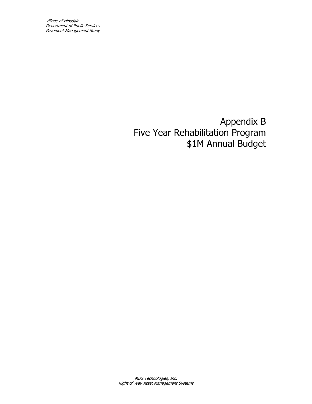Appendix B Five Year Rehabilitation Program \$1M Annual Budget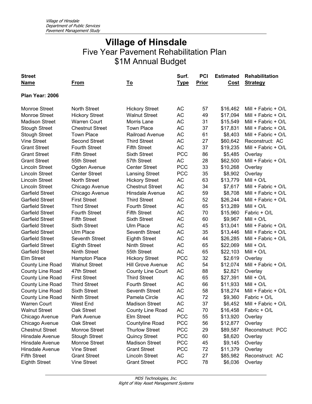| <b>Street</b><br><b>Name</b> | <u>From</u>            | <u>To</u>                | Surf.<br><u>Type</u> | <b>PCI</b><br><b>Prior</b> | <b>Estimated</b><br>Cost | Rehabilitation<br><b>Strategy</b> |
|------------------------------|------------------------|--------------------------|----------------------|----------------------------|--------------------------|-----------------------------------|
| Plan Year: 2006              |                        |                          |                      |                            |                          |                                   |
| <b>Monroe Street</b>         | North Street           | <b>Hickory Street</b>    | AC                   | 57                         | \$16,462                 | Mill + Fabric + $O/L$             |
| <b>Monroe Street</b>         | <b>Hickory Street</b>  | <b>Walnut Street</b>     | AC                   | 49                         | \$17,094                 | Mill + Fabric + O/L               |
| <b>Madison Street</b>        | <b>Warren Court</b>    | Morris Lane              | AC                   | 31                         | \$15,549                 | Mill + Fabric + O/L               |
| <b>Stough Street</b>         | <b>Chestnut Street</b> | <b>Town Place</b>        | AC                   | 37                         | \$17,831                 | Mill + Fabric + O/L               |
| <b>Stough Street</b>         | <b>Town Place</b>      | Railroad Avenue          | AC                   | 61                         | \$8,403                  | Mill + Fabric + O/L               |
| <b>Vine Street</b>           | <b>Second Street</b>   | <b>Third Street</b>      | AC                   | 27                         | \$60,642                 | Reconstruct: AC                   |
| <b>Grant Street</b>          | <b>Fourth Street</b>   | <b>Fifth Street</b>      | <b>AC</b>            | 37                         | \$19,235                 | Mill + Fabric + O/L               |
| <b>Grant Street</b>          | <b>Fifth Street</b>    | <b>Sixth Street</b>      | <b>PCC</b>           | 86                         | \$5,485                  | Overlay                           |
| <b>Grant Street</b>          | 55th Street            | 57th Street              | AC                   | 28                         | \$62,500                 | Mill + Fabric + O/L               |
| <b>Lincoln Street</b>        | Ogden Avenue           | <b>Center Street</b>     | <b>PCC</b>           | 33                         | \$10,268                 | Overlay                           |
| <b>Lincoln Street</b>        | <b>Center Street</b>   | <b>Lansing Street</b>    | <b>PCC</b>           | 35                         | \$8,902                  | Overlay                           |
| <b>Lincoln Street</b>        | <b>North Street</b>    | <b>Hickory Street</b>    | AC                   | 63                         | \$13,779                 | $Mill + O/L$                      |
| <b>Lincoln Street</b>        | Chicago Avenue         | <b>Chestnut Street</b>   | AC                   | 34                         | \$7,617                  | Mill + Fabric + O/L               |
| <b>Garfield Street</b>       | Chicago Avenue         | Hinsdale Avenue          | AC                   | 59                         | \$8,708                  | Mill + Fabric + $O/L$             |
| <b>Garfield Street</b>       | <b>First Street</b>    | <b>Third Street</b>      | <b>AC</b>            | 52                         | \$26,244                 | Mill + Fabric + O/L               |
| <b>Garfield Street</b>       | <b>Third Street</b>    | <b>Fourth Street</b>     | AC                   | 65                         | \$13,289                 | $Mill + O/L$                      |
| <b>Garfield Street</b>       | <b>Fourth Street</b>   | <b>Fifth Street</b>      | AC                   | 70                         | \$15,960                 | Fabric + O/L                      |
| <b>Garfield Street</b>       | <b>Fifth Street</b>    | <b>Sixth Street</b>      | AC                   | 60                         | \$9,967                  | $Mill + O/L$                      |
| <b>Garfield Street</b>       | <b>Sixth Street</b>    | <b>Ulm Place</b>         | AC                   | 45                         | \$13,041                 | Mill + Fabric + $O/L$             |
| <b>Garfield Street</b>       | Ulm Place              | <b>Seventh Street</b>    | AC                   | 35                         | \$13,446                 | Mill + Fabric + $O/L$             |
| <b>Garfield Street</b>       | Seventh Street         | <b>Eighth Street</b>     | <b>AC</b>            | 44                         | \$26,285                 | Mill + Fabric + O/L               |
| <b>Garfield Street</b>       | <b>Eighth Street</b>   | <b>Ninth Street</b>      | AC                   | 65                         | \$22,069                 | $Mill + O/L$                      |
| <b>Garfield Street</b>       | <b>Ninth Street</b>    | 55th Street              | <b>AC</b>            | 65                         | \$22,103                 | $Mill + O/L$                      |
| <b>Elm Street</b>            | <b>Hampton Place</b>   | <b>Hickory Street</b>    | <b>PCC</b>           | 32                         | \$2,619                  | Overlay                           |
| County Line Road             | <b>Walnut Street</b>   | Hill Grove Avenue        | <b>AC</b>            | 54                         | \$12,074                 | Mill + Fabric + O/L               |
| County Line Road             | 47th Street            | <b>County Line Court</b> | AC                   | 88                         | \$2,821                  | Overlay                           |
| County Line Road             | <b>First Street</b>    | <b>Third Street</b>      | AC                   | 65                         | \$27,391                 | $Mill + O/L$                      |
| County Line Road             | <b>Third Street</b>    | <b>Fourth Street</b>     | AC                   | 66                         | \$11,933                 | $Mill + O/L$                      |
| County Line Road             | <b>Sixth Street</b>    | Seventh Street           | AC                   | 58                         | \$18,274                 | Mill + Fabric + O/L               |
| County Line Road             | <b>Ninth Street</b>    | Pamela Circle            | AC                   | 72                         | \$9,360                  | Fabric + O/L                      |
| Warren Court                 | West End               | <b>Madison Street</b>    | <b>AC</b>            | 37                         | \$6,452                  | Mill + Fabric + O/L               |
| <b>Walnut Street</b>         | Oak Street             | County Line Road         | AC                   | 70                         | \$16,458                 | Fabric + O/L                      |
| Chicago Avenue               | Park Avenue            | Elm Street               | <b>PCC</b>           | 55                         | \$13,920                 | Overlay                           |
| Chicago Avenue               | Oak Street             | Countyline Road          | <b>PCC</b>           | 56                         | \$12,877                 | Overlay                           |
| <b>Chestnut Street</b>       | <b>Monroe Street</b>   | <b>Thurlow Street</b>    | <b>PCC</b>           | 29                         | \$89,587                 | Reconstruct: PCC                  |
| Hinsdale Avenue              | <b>Stough Street</b>   | <b>Quincy Street</b>     | <b>PCC</b>           | 60                         | \$8,620                  | Overlay                           |
| Hinsdale Avenue              | Monroe Street          | <b>Madison Street</b>    | <b>PCC</b>           | 45                         | \$9,145                  | Overlay                           |
| Hinsdale Avenue              | Vine Street            | <b>Grant Street</b>      | <b>PCC</b>           | 72                         | \$11,379                 | Overlay                           |
| <b>Fifth Street</b>          | <b>Grant Street</b>    | <b>Lincoln Street</b>    | AC                   | 27                         | \$85,982                 | Reconstruct: AC                   |
| <b>Eighth Street</b>         | Vine Street            | <b>Grant Street</b>      | <b>PCC</b>           | 78                         | \$6,036                  | Overlay                           |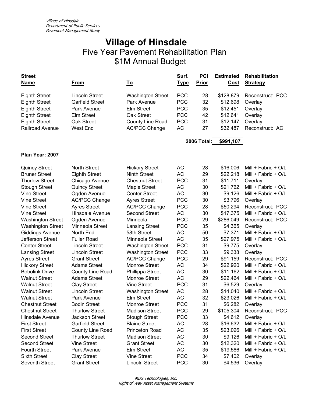| <b>Street</b>            |                        |                          | Surf.       | <b>PCI</b>         | <b>Estimated</b> | Rehabilitation      |
|--------------------------|------------------------|--------------------------|-------------|--------------------|------------------|---------------------|
| <u>Name</u>              | From                   | <u>To</u>                | <u>Type</u> | <b>Prior</b>       | Cost             | <b>Strategy</b>     |
| <b>Eighth Street</b>     | <b>Lincoln Street</b>  | <b>Washington Street</b> | <b>PCC</b>  | 28                 | \$128,879        | Reconstruct: PCC    |
| <b>Eighth Street</b>     | <b>Garfield Street</b> | Park Avenue              | <b>PCC</b>  | 32                 | \$12,698         | Overlay             |
| <b>Eighth Street</b>     | Park Avenue            | Elm Street               | <b>PCC</b>  | 35                 | \$12,451         | Overlay             |
| <b>Eighth Street</b>     | <b>Elm Street</b>      | Oak Street               | <b>PCC</b>  | 42                 | \$12,641         | Overlay             |
| <b>Eighth Street</b>     | Oak Street             | County Line Road         | <b>PCC</b>  | 31                 | \$12,147         | Overlay             |
| Railroad Avenue          | West End               | <b>AC/PCC Change</b>     | AC          | 27                 | \$32,487         | Reconstruct: AC     |
|                          |                        |                          |             | <b>2006 Total:</b> | \$991,107        |                     |
| Plan Year: 2007          |                        |                          |             |                    |                  |                     |
|                          |                        |                          |             |                    |                  |                     |
| <b>Quincy Street</b>     | <b>North Street</b>    | <b>Hickory Street</b>    | AC          | 28                 | \$16,006         | Mill + Fabric + O/L |
| <b>Bruner Street</b>     | <b>Eighth Street</b>   | <b>Ninth Street</b>      | <b>AC</b>   | 29                 | \$22,218         | Mill + Fabric + O/L |
| <b>Thurlow Street</b>    | Chicago Avenue         | <b>Chestnut Street</b>   | <b>PCC</b>  | 31                 | \$11,711         | Overlay             |
| <b>Stough Street</b>     | <b>Quincy Street</b>   | Maple Street             | AC          | 30                 | \$21,762         | Mill + Fabric + O/L |
| <b>Vine Street</b>       | Ogden Avenue           | <b>Center Street</b>     | <b>AC</b>   | 30                 | \$9,126          | Mill + Fabric + O/L |
| <b>Vine Street</b>       | <b>AC/PCC Change</b>   | <b>Ayres Street</b>      | <b>PCC</b>  | 30                 | \$3,796          | Overlay             |
| <b>Vine Street</b>       | <b>Ayres Street</b>    | <b>AC/PCC Change</b>     | <b>PCC</b>  | 28                 | \$50,294         | Reconstruct: PCC    |
| <b>Vine Street</b>       | Hinsdale Avenue        | <b>Second Street</b>     | AC          | 30                 | \$17,375         | Mill + Fabric + O/L |
| <b>Washington Street</b> | Ogden Avenue           | Minneola                 | <b>PCC</b>  | 29                 | \$286,049        | Reconstruct: PCC    |
| <b>Washington Street</b> | Minneola Street        | <b>Lansing Street</b>    | <b>PCC</b>  | 35                 | \$4,365          | Overlay             |
| <b>Giddings Avenue</b>   | North End              | 58th Street              | AC          | 50                 | \$7,371          | Mill + Fabric + O/L |
| Jefferson Street         | <b>Fuller Road</b>     | Minneola Street          | <b>AC</b>   | 35                 | \$27,975         | Mill + Fabric + O/L |
| <b>Center Street</b>     | <b>Lincoln Street</b>  | <b>Washington Street</b> | <b>PCC</b>  | 31                 | \$9,775          | Overlay             |
| Lansing Street           | Lincoln Street         | <b>Washington Street</b> | <b>PCC</b>  | 33                 | \$9,338          | Overlay             |
| <b>Ayres Street</b>      | <b>Grant Street</b>    | <b>AC/PCC Change</b>     | <b>PCC</b>  | 29                 | \$91,159         | Reconstruct: PCC    |
| <b>Hickory Street</b>    | <b>Adams Street</b>    | Monroe Street            | <b>AC</b>   | 34                 | \$22,920         | Mill + Fabric + O/L |
| <b>Bobolink Drive</b>    | County Line Road       | Phillippa Street         | <b>AC</b>   | 30                 | \$11,162         | Mill + Fabric + O/L |
| <b>Walnut Street</b>     | <b>Adams Street</b>    | Monroe Street            | AC          | 29                 | \$22,464         | Mill + Fabric + O/L |
| <b>Walnut Street</b>     | <b>Clay Street</b>     | Vine Street              | <b>PCC</b>  | 31                 | \$6,529          | Overlay             |
| <b>Walnut Street</b>     | <b>Lincoln Street</b>  | <b>Washington Street</b> | AC          | 28                 | \$14,040         | Mill + Fabric + O/L |
| <b>Walnut Street</b>     | Park Avenue            | <b>Elm Street</b>        | <b>AC</b>   | 32                 | \$23,026         | Mill + Fabric + O/L |
| <b>Chestnut Street</b>   | <b>Bodin Street</b>    | Monroe Street            | <b>PCC</b>  | 31                 | \$6,282          | Overlay             |
| <b>Chestnut Street</b>   | <b>Thurlow Street</b>  | <b>Madison Street</b>    | <b>PCC</b>  | 29                 | \$105,304        | Reconstruct: PCC    |
| Hinsdale Avenue          | Jackson Street         | <b>Stough Street</b>     | <b>PCC</b>  | 33                 | \$4,612          | Overlay             |
| <b>First Street</b>      | <b>Garfield Street</b> | <b>Blaine Street</b>     | AC          | 28                 | \$16,632         | Mill + Fabric + O/L |
| <b>First Street</b>      | County Line Road       | Princeton Road           | AC          | 35                 | \$23,026         | Mill + Fabric + O/L |
| <b>Second Street</b>     | <b>Thurlow Street</b>  | <b>Madison Street</b>    | AC          | 30                 | \$9,126          | Mill + Fabric + O/L |
| <b>Second Street</b>     | <b>Vine Street</b>     | <b>Grant Street</b>      | AC          | 30                 | \$12,320         | Mill + Fabric + O/L |
| <b>Fourth Street</b>     | Park Avenue            | Elm Street               | AC          | 35                 | \$19,586         | Mill + Fabric + O/L |
| <b>Sixth Street</b>      | <b>Clay Street</b>     | <b>Vine Street</b>       | <b>PCC</b>  | 34                 | \$7,402          | Overlay             |
| Seventh Street           | <b>Grant Street</b>    | Lincoln Street           | <b>PCC</b>  | 30                 | \$4,536          | Overlay             |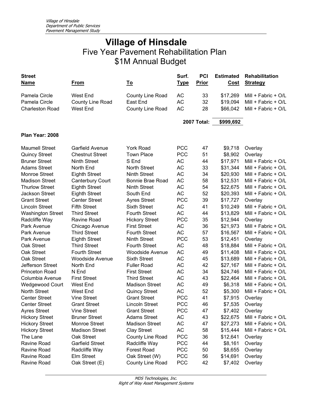| <b>Street</b><br><b>Name</b> | <u>From</u>             | <u>To</u>              | Surf.<br><u>Type</u> | PCI<br><b>Prior</b> | <b>Estimated</b><br>Cost | <b>Rehabilitation</b><br><b>Strategy</b> |
|------------------------------|-------------------------|------------------------|----------------------|---------------------|--------------------------|------------------------------------------|
| Pamela Circle                | <b>West End</b>         | County Line Road       | AC                   | 33                  | \$17,269                 | Mill + Fabric + O/L                      |
| Pamela Circle                | <b>County Line Road</b> | East End               | <b>AC</b>            | 32                  | \$19,094                 | Mill + Fabric + O/L                      |
| <b>Charleston Road</b>       | <b>West End</b>         | County Line Road       | <b>AC</b>            | 28                  | \$66,042                 | Mill + Fabric + O/L                      |
|                              |                         |                        |                      | <b>2007 Total:</b>  | \$999,692                |                                          |
| Plan Year: 2008              |                         |                        |                      |                     |                          |                                          |
| <b>Maumell Street</b>        | Garfield Avenue         | <b>York Road</b>       | <b>PCC</b>           | 47                  | \$9,718                  | Overlay                                  |
| <b>Quincy Street</b>         | <b>Chestnut Street</b>  | <b>Town Place</b>      | <b>PCC</b>           | 51                  | \$8,902                  | Overlay                                  |
| <b>Bruner Street</b>         | Ninth Street            | S End                  | AC                   | 44                  | \$17,971                 | Mill + Fabric + O/L                      |
| <b>Adams Street</b>          | North End               | <b>North Street</b>    | <b>AC</b>            | 33                  | \$31,344                 | Mill + Fabric + O/L                      |
| <b>Monroe Street</b>         | <b>Eighth Street</b>    | <b>Ninth Street</b>    | <b>AC</b>            | 34                  | \$20,930                 | Mill + Fabric + O/L                      |
| <b>Madison Street</b>        | Canterbury Court        | Bonnie Brae Road       | <b>AC</b>            | 58                  | \$12,531                 | Mill + Fabric + O/L                      |
| <b>Thurlow Street</b>        | <b>Eighth Street</b>    | <b>Ninth Street</b>    | AC                   | 54                  | \$22,675                 | Mill + Fabric + O/L                      |
| Jackson Street               | <b>Eighth Street</b>    | South End              | AC                   | 52                  | \$20,393                 | Mill + Fabric + O/L                      |
| <b>Grant Street</b>          | <b>Center Street</b>    | <b>Ayres Street</b>    | <b>PCC</b>           | 39                  | \$17,727                 | Overlay                                  |
| <b>Lincoln Street</b>        | <b>Fifth Street</b>     | <b>Sixth Street</b>    | <b>AC</b>            | 41                  | \$10,249                 | Mill + Fabric + O/L                      |
| <b>Washington Street</b>     | <b>Third Street</b>     | <b>Fourth Street</b>   | <b>AC</b>            | 44                  | \$13,829                 | Mill + Fabric + O/L                      |
| Radcliffe Way                | Ravine Road             | <b>Hickory Street</b>  | <b>PCC</b>           | 35                  | \$12,944                 | Overlay                                  |
| Park Avenue                  | Chicago Avenue          | <b>First Street</b>    | <b>AC</b>            | 36                  | \$21,973                 | Mill + Fabric + O/L                      |
| Park Avenue                  | <b>Third Street</b>     | <b>Fourth Street</b>   | <b>AC</b>            | 57                  | \$16,567                 | Mill + Fabric + O/L                      |
| Park Avenue                  | <b>Eighth Street</b>    | <b>Ninth Street</b>    | <b>PCC</b>           | 53                  | \$12,451                 | Overlay                                  |
| Oak Street                   | <b>Third Street</b>     | <b>Fourth Street</b>   | <b>AC</b>            | 48                  | \$18,884                 | Mill + Fabric + O/L                      |
| Oak Street                   | <b>Fourth Street</b>    | <b>Woodside Avenue</b> | AC                   | 49                  | \$11,408                 | Mill + Fabric + O/L                      |
| Oak Street                   | <b>Woodside Avenue</b>  | <b>Sixth Street</b>    | AC                   | 45                  | \$13,689                 | Mill + Fabric + O/L                      |
| Jefferson Street             | North End               | <b>Fuller Road</b>     | AC                   | 42                  | \$27,167                 | Mill + Fabric + O/L                      |
| <b>Princeton Road</b>        | N End                   | <b>First Street</b>    | AC                   | 34                  | \$24,746                 | Mill + Fabric + O/L                      |
| Columbia Avenue              | <b>First Street</b>     | <b>Third Street</b>    | AC                   | 43                  | \$22,464                 | Mill + Fabric + O/L                      |
| Wedgewood Court              | <b>West End</b>         | <b>Madison Street</b>  | <b>AC</b>            | 49                  | \$6,318                  | Mill + Fabric + O/L                      |
| <b>North Street</b>          | <b>West End</b>         | <b>Quincy Street</b>   | <b>AC</b>            | 52                  | \$5,300                  | Mill + Fabric + O/L                      |
| <b>Center Street</b>         | <b>Vine Street</b>      | <b>Grant Street</b>    | <b>PCC</b>           | 41                  | \$7,915                  | Overlay                                  |
| <b>Center Street</b>         | <b>Grant Street</b>     | Lincoln Street         | <b>PCC</b>           | 46                  | \$7,535                  | Overlay                                  |
| <b>Ayres Street</b>          | <b>Vine Street</b>      | <b>Grant Street</b>    | <b>PCC</b>           | 47                  | \$7,402                  | Overlay                                  |
| <b>Hickory Street</b>        | <b>Bruner Street</b>    | <b>Adams Street</b>    | AC                   | 43                  | \$22,675                 | Mill + Fabric + O/L                      |
| <b>Hickory Street</b>        | Monroe Street           | <b>Madison Street</b>  | AC                   | 47                  | \$27,273                 | Mill + Fabric + O/L                      |
| <b>Hickory Street</b>        | <b>Madison Street</b>   | <b>Clay Street</b>     | AC                   | 58                  | \$15,444                 | Mill + Fabric + $O/L$                    |
| The Lane                     | Oak Street              | County Line Road       | <b>PCC</b>           | 36                  | \$12,641                 | Overlay                                  |
| Ravine Road                  | <b>Garfield Street</b>  | Radcliffe Way          | <b>PCC</b>           | 44                  | \$8,161                  | Overlay                                  |
| Ravine Road                  | Radcliffe Way           | <b>Forest Road</b>     | <b>PCC</b>           | 50                  | \$8,655                  | Overlay                                  |
| Ravine Road                  | Elm Street              | Oak Street (W)         | <b>PCC</b>           | 56                  | \$14,691                 | Overlay                                  |
| Ravine Road                  | Oak Street (E)          | County Line Road       | <b>PCC</b>           | 42                  | \$7,402                  | Overlay                                  |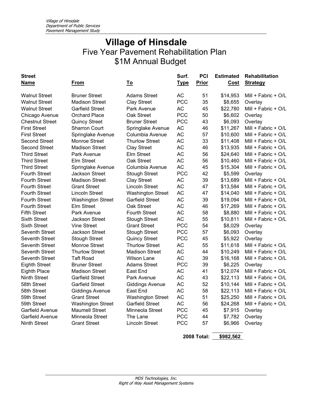| <b>Street</b>          |                          |                          | Surf.       | <b>PCI</b>   | <b>Estimated</b> | <b>Rehabilitation</b> |
|------------------------|--------------------------|--------------------------|-------------|--------------|------------------|-----------------------|
| <b>Name</b>            | <b>From</b>              | <u>To</u>                | <b>Type</b> | <b>Prior</b> | <b>Cost</b>      | <b>Strategy</b>       |
| <b>Walnut Street</b>   | <b>Bruner Street</b>     | <b>Adams Street</b>      | <b>AC</b>   | 51           | \$14,953         | Mill + Fabric + O/L   |
| <b>Walnut Street</b>   | <b>Madison Street</b>    | <b>Clay Street</b>       | <b>PCC</b>  | 35           | \$8,655          | Overlay               |
| <b>Walnut Street</b>   | <b>Garfield Street</b>   | Park Avenue              | <b>AC</b>   | 45           | \$22,780         | Mill + Fabric + O/L   |
| Chicago Avenue         | <b>Orchard Place</b>     | Oak Street               | <b>PCC</b>  | 50           | \$6,602          | Overlay               |
| <b>Chestnut Street</b> | <b>Quincy Street</b>     | <b>Bruner Street</b>     | <b>PCC</b>  | 43           | \$6,093          | Overlay               |
| <b>First Street</b>    | <b>Sharron Court</b>     | Springlake Avenue        | <b>AC</b>   | 46           | \$11,267         | Mill + Fabric + O/L   |
| <b>First Street</b>    | Springlake Avenue        | Columbia Avenue          | <b>AC</b>   | 57           | \$10,600         | Mill + Fabric + O/L   |
| <b>Second Street</b>   | Monroe Street            | <b>Thurlow Street</b>    | <b>AC</b>   | 33           | \$11,408         | Mill + Fabric + $O/L$ |
| <b>Second Street</b>   | <b>Madison Street</b>    | <b>Clay Street</b>       | <b>AC</b>   | 46           | \$13,935         | Mill + Fabric + O/L   |
| <b>Third Street</b>    | Park Avenue              | Elm Street               | <b>AC</b>   | 56           | \$24,640         | Mill + Fabric + O/L   |
| <b>Third Street</b>    | Elm Street               | Oak Street               | <b>AC</b>   | 56           | \$10,460         | Mill + Fabric + O/L   |
| <b>Third Street</b>    | Springlake Avenue        | Columbia Avenue          | <b>AC</b>   | 45           | \$15,304         | Mill + Fabric + O/L   |
| <b>Fourth Street</b>   | Jackson Street           | <b>Stough Street</b>     | <b>PCC</b>  | 42           | \$5,599          | Overlay               |
| <b>Fourth Street</b>   | <b>Madison Street</b>    | <b>Clay Street</b>       | <b>AC</b>   | 39           | \$13,689         | Mill + Fabric + O/L   |
| <b>Fourth Street</b>   | <b>Grant Street</b>      | <b>Lincoln Street</b>    | <b>AC</b>   | 47           | \$13,584         | Mill + Fabric + $O/L$ |
| <b>Fourth Street</b>   | <b>Lincoln Street</b>    | <b>Washington Street</b> | <b>AC</b>   | 47           | \$14,040         | Mill + Fabric + O/L   |
| <b>Fourth Street</b>   | <b>Washington Street</b> | <b>Garfield Street</b>   | <b>AC</b>   | 39           | \$19,094         | Mill + Fabric + $O/L$ |
| <b>Fourth Street</b>   | Elm Street               | Oak Street               | <b>AC</b>   | 46           | \$17,269         | Mill + Fabric + O/L   |
| <b>Fifth Street</b>    | Park Avenue              | <b>Fourth Street</b>     | <b>AC</b>   | 58           | \$8,880          | Mill + Fabric + O/L   |
| <b>Sixth Street</b>    | <b>Jackson Street</b>    | <b>Stough Street</b>     | <b>AC</b>   | 55           | \$10,811         | Mill + Fabric + O/L   |
| <b>Sixth Street</b>    | Vine Street              | <b>Grant Street</b>      | <b>PCC</b>  | 54           | \$8,029          | Overlay               |
| Seventh Street         | Jackson Street           | <b>Stough Street</b>     | <b>PCC</b>  | 57           | \$6,093          | Overlay               |
| <b>Seventh Street</b>  | <b>Stough Street</b>     | <b>Quincy Street</b>     | <b>PCC</b>  | 45           | \$5,922          | Overlay               |
| Seventh Street         | Monroe Street            | <b>Thurlow Street</b>    | <b>AC</b>   | 55           | \$11,618         | Mill + Fabric + O/L   |
| Seventh Street         | <b>Thurlow Street</b>    | <b>Madison Street</b>    | <b>AC</b>   | 44           | \$10,249         | Mill + Fabric + O/L   |
| Seventh Street         | <b>Taft Road</b>         | <b>Wilson Lane</b>       | <b>AC</b>   | 39           | \$16,168         | Mill + Fabric + O/L   |
| <b>Eighth Street</b>   | <b>Bruner Street</b>     | <b>Adams Street</b>      | <b>PCC</b>  | 39           | \$6,225          | Overlay               |
| <b>Eighth Place</b>    | <b>Madison Street</b>    | East End                 | <b>AC</b>   | 41           | \$12,074         | Mill + Fabric + O/L   |
| <b>Ninth Street</b>    | <b>Garfield Street</b>   | Park Avenue              | <b>AC</b>   | 43           | \$22,113         | Mill + Fabric + O/L   |
| 58th Street            | <b>Garfield Street</b>   | <b>Giddings Avenue</b>   | <b>AC</b>   | 52           | \$10,144         | Mill + Fabric + O/L   |
| 58th Street            | <b>Giddings Avenue</b>   | East End                 | <b>AC</b>   | 58           | \$22,113         | Mill + Fabric + O/L   |
| 59th Street            | <b>Grant Street</b>      | <b>Washington Street</b> | <b>AC</b>   | 51           | \$25,250         | Mill + Fabric + O/L   |
| 59th Street            | <b>Washington Street</b> | <b>Garfield Street</b>   | <b>AC</b>   | 56           | \$24,268         | Mill + Fabric + O/L   |
| Garfield Avenue        | <b>Maumell Street</b>    | Minneola Street          | <b>PCC</b>  | 45           | \$7,915          | Overlay               |
| Garfield Avenue        | Minneola Street          | The Lane                 | <b>PCC</b>  | 44           | \$7,782          | Overlay               |
| <b>Ninth Street</b>    | <b>Grant Street</b>      | <b>Lincoln Street</b>    | <b>PCC</b>  | 57           | \$6,966          | Overlay               |
|                        |                          |                          |             |              |                  |                       |
|                        |                          |                          |             |              |                  |                       |

**2008 Total: \$982,562**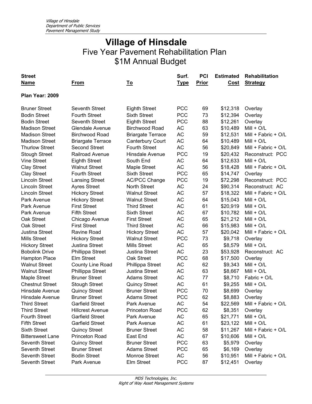| <b>Street</b><br><b>Name</b> | From                     | <u>To</u>                | Surf.<br><u>Type</u> | <b>PCI</b><br>Prior | <b>Estimated</b><br>Cost | Rehabilitation<br><b>Strategy</b> |
|------------------------------|--------------------------|--------------------------|----------------------|---------------------|--------------------------|-----------------------------------|
| Plan Year: 2009              |                          |                          |                      |                     |                          |                                   |
|                              |                          |                          |                      |                     |                          |                                   |
| <b>Bruner Street</b>         | Seventh Street           | <b>Eighth Street</b>     | <b>PCC</b>           | 69                  | \$12,318                 | Overlay                           |
| <b>Bodin Street</b>          | <b>Fourth Street</b>     | <b>Sixth Street</b>      | <b>PCC</b>           | 73                  | \$12,394                 | Overlay                           |
| <b>Bodin Street</b>          | <b>Seventh Street</b>    | <b>Eighth Street</b>     | <b>PCC</b>           | 88                  | \$12,261                 | Overlay                           |
| <b>Madison Street</b>        | Glendale Avenue          | Birchwood Road           | <b>AC</b>            | 63                  | \$10,489                 | $Mill + O/L$                      |
| <b>Madison Street</b>        | <b>Birchwood Road</b>    | <b>Briargate Terrace</b> | <b>AC</b>            | 59                  | \$12,531                 | Mill + Fabric + O/L               |
| <b>Madison Street</b>        | <b>Briargate Terrace</b> | Canterbury Court         | <b>AC</b>            | 64                  | \$10,489                 | $Mill + O/L$                      |
| <b>Thurlow Street</b>        | <b>Second Street</b>     | <b>Fourth Street</b>     | <b>AC</b>            | 56                  | \$20,849                 | Mill + Fabric + O/L               |
| <b>Stough Street</b>         | Railroad Avenue          | Hinsdale Avenue          | <b>PCC</b>           | 19                  | \$20,432                 | Reconstruct: PCC                  |
| <b>Vine Street</b>           | <b>Eighth Street</b>     | South End                | AC                   | 64                  | \$12,633                 | $Mill + O/L$                      |
| <b>Clay Street</b>           | <b>Walnut Street</b>     | Maple Street             | <b>AC</b>            | 56                  | \$18,428                 | Mill + Fabric + O/L               |
| <b>Clay Street</b>           | <b>Fourth Street</b>     | <b>Sixth Street</b>      | <b>PCC</b>           | 65                  | \$14,747                 | Overlay                           |
| <b>Lincoln Street</b>        | <b>Lansing Street</b>    | <b>AC/PCC Change</b>     | <b>PCC</b>           | 19                  | \$72,298                 | Reconstruct: PCC                  |
| <b>Lincoln Street</b>        | <b>Ayres Street</b>      | North Street             | <b>AC</b>            | 24                  | \$90,314                 | Reconstruct: AC                   |
| <b>Lincoln Street</b>        | <b>Hickory Street</b>    | <b>Walnut Street</b>     | <b>AC</b>            | 57                  | \$18,322                 | Mill + Fabric + O/L               |
| Park Avenue                  | <b>Hickory Street</b>    | <b>Walnut Street</b>     | <b>AC</b>            | 64                  | \$15,043                 | $Mill + O/L$                      |
| Park Avenue                  | <b>First Street</b>      | <b>Third Street</b>      | AC                   | 61                  | \$20,919                 | $Mill + O/L$                      |
| Park Avenue                  | <b>Fifth Street</b>      | <b>Sixth Street</b>      | AC                   | 67                  | \$10,782                 | $Mill + O/L$                      |
| Oak Street                   | Chicago Avenue           | <b>First Street</b>      | AC                   | 65                  | \$21,212                 | $Mill + O/L$                      |
| Oak Street                   | <b>First Street</b>      | <b>Third Street</b>      | AC                   | 66                  | \$15,983                 | $Mill + O/L$                      |
| Justina Street               | Ravine Road              | <b>Hickory Street</b>    | AC                   | 57                  | \$20,042                 | Mill + Fabric + O/L               |
| <b>Mills Street</b>          | <b>Hickory Street</b>    | <b>Walnut Street</b>     | <b>PCC</b>           | 73                  | \$9,718                  | Overlay                           |
| <b>Hickory Street</b>        | <b>Justina Street</b>    | <b>Mills Street</b>      | <b>AC</b>            | 65                  | \$8,579                  | $Mill + O/L$                      |
| <b>Bobolink Drive</b>        | Phillippa Street         | <b>Justina Street</b>    | <b>AC</b>            | 23                  | \$53,928                 | Reconstruct: AC                   |
| <b>Hampton Place</b>         | <b>Elm Street</b>        | Oak Street               | <b>PCC</b>           | 68                  | \$17,500                 | Overlay                           |
| <b>Walnut Street</b>         | County Line Road         | Phillippa Street         | AC                   | 62                  | \$9,343                  | $Mill + O/L$                      |
| <b>Walnut Street</b>         | Phillippa Street         | <b>Justina Street</b>    | <b>AC</b>            | 63                  | \$8,667                  | $Mill + O/L$                      |
| Maple Street                 | <b>Bruner Street</b>     | <b>Adams Street</b>      | AC                   | 77                  | \$8,710                  | Fabric + O/L                      |
| <b>Chestnut Street</b>       | <b>Stough Street</b>     | <b>Quincy Street</b>     | <b>AC</b>            | 61                  | \$9,255                  | $Mill + O/L$                      |
| Hinsdale Avenue              | <b>Quincy Street</b>     | <b>Bruner Street</b>     | <b>PCC</b>           | 70                  | \$8,699                  | Overlay                           |
| Hinsdale Avenue              | <b>Bruner Street</b>     | <b>Adams Street</b>      | <b>PCC</b>           | 62                  | \$8,883                  | Overlay                           |
| <b>Third Street</b>          | <b>Garfield Street</b>   | Park Avenue              | AC                   | 54                  | \$22,569                 | Mill + Fabric + O/L               |
| <b>Third Street</b>          | <b>Hillcrest Avenue</b>  | Princeton Road           | <b>PCC</b>           | 62                  | \$8,351                  | Overlay                           |
| <b>Fourth Street</b>         | <b>Garfield Street</b>   | Park Avenue              | AC                   | 65                  | \$21,771                 | $Mill + O/L$                      |
| <b>Fifth Street</b>          | <b>Garfield Street</b>   | Park Avenue              | AC                   | 61                  | \$23,122                 | $Mill + O/L$                      |
| <b>Sixth Street</b>          | <b>Quincy Street</b>     | <b>Bruner Street</b>     | AC                   | 58                  | \$11,267                 | Mill + Fabric + O/L               |
| <b>Bittersweet Lane</b>      | Princeton Road           | East End                 | AC                   | 67                  | \$10,606                 | $Mill + O/L$                      |
| Seventh Street               | <b>Quincy Street</b>     | <b>Bruner Street</b>     | <b>PCC</b>           | 63                  | \$5,979                  | Overlay                           |
| Seventh Street               | <b>Bruner Street</b>     | <b>Adams Street</b>      | <b>PCC</b>           | 65                  | \$6,169                  | Overlay                           |
| Seventh Street               | <b>Bodin Street</b>      | Monroe Street            | AC                   | 56                  | \$10,951                 | Mill + Fabric + O/L               |
| Seventh Street               | Park Avenue              | Elm Street               | <b>PCC</b>           | 87                  | \$12,451                 | Overlay                           |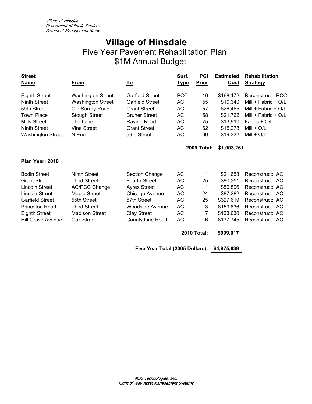| <b>Street</b><br><b>Name</b> | From                     | <u>To</u>                       | Surf.<br><u>Type</u> | <b>PCI</b><br><b>Prior</b> | <b>Estimated</b><br><u>Cost</u> | <b>Rehabilitation</b><br><b>Strategy</b> |
|------------------------------|--------------------------|---------------------------------|----------------------|----------------------------|---------------------------------|------------------------------------------|
| <b>Eighth Street</b>         | <b>Washington Street</b> | <b>Garfield Street</b>          | <b>PCC</b>           | 10                         | \$168,172                       | Reconstruct: PCC                         |
| <b>Ninth Street</b>          | <b>Washington Street</b> | <b>Garfield Street</b>          | AC                   | 55                         | \$19,340                        | Mill + Fabric + O/L                      |
| 59th Street                  | Old Surrey Road          | <b>Grant Street</b>             | AC                   | 57                         | \$26,465                        | Mill + Fabric + $O/L$                    |
| <b>Town Place</b>            | <b>Stough Street</b>     | <b>Bruner Street</b>            | AC                   | 58                         | \$21,762                        | Mill + Fabric + O/L                      |
| <b>Mills Street</b>          | The Lane                 | Ravine Road                     | AC                   | 75                         | \$13,910                        | Fabric + O/L                             |
| <b>Ninth Street</b>          | <b>Vine Street</b>       | <b>Grant Street</b>             | <b>AC</b>            | 62                         | \$15,278                        | $Mill + O/L$                             |
| <b>Washington Street</b>     | N End                    | 59th Street                     | AC                   | 60                         | \$19,332                        | $Mill + O/L$                             |
|                              |                          |                                 |                      |                            | 2009 Total: \$1,003,261         |                                          |
| Plan Year: 2010              |                          |                                 |                      |                            |                                 |                                          |
| <b>Bodin Street</b>          | <b>Ninth Street</b>      | <b>Section Change</b>           | AC                   | 11                         | \$21,658                        | Reconstruct: AC                          |
| <b>Grant Street</b>          | <b>Third Street</b>      | <b>Fourth Street</b>            | AC                   | 25                         | \$80,351                        | Reconstruct: AC                          |
| <b>Lincoln Street</b>        | <b>AC/PCC Change</b>     | <b>Ayres Street</b>             | AC                   | 1                          | \$50,896                        | Reconstruct: AC                          |
| Lincoln Street               | Maple Street             | Chicago Avenue                  | AC                   | 24                         | \$87,282                        | Reconstruct: AC                          |
| <b>Garfield Street</b>       | 55th Street              | 57th Street                     | AC                   | 25                         | \$327,619                       | Reconstruct: AC                          |
| <b>Princeton Road</b>        | <b>Third Street</b>      | <b>Woodside Avenue</b>          | AC                   | 3                          | \$159,836                       | Reconstruct: AC                          |
| <b>Eighth Street</b>         | <b>Madison Street</b>    | <b>Clay Street</b>              | AC                   | 7                          | \$133,630                       | Reconstruct: AC                          |
| Hill Grove Avenue            | Oak Street               | County Line Road                | AC                   | 6                          | \$137,745                       | Reconstruct: AC                          |
|                              |                          |                                 |                      | <b>2010 Total:</b>         | \$999,017                       |                                          |
|                              |                          | Five Year Total (2005 Dollars): |                      |                            | \$4,975,639                     |                                          |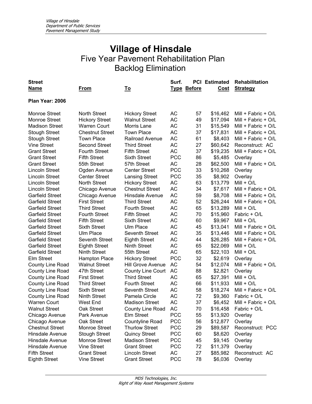| <b>Street</b>          |                        |                          | Surf.      |                    | <b>PCI</b> Estimated | <b>Rehabilitation</b> |
|------------------------|------------------------|--------------------------|------------|--------------------|----------------------|-----------------------|
| Name                   | <u>From</u>            | <u>To</u>                |            | <b>Type Before</b> | Cost                 | <b>Strategy</b>       |
| Plan Year: 2006        |                        |                          |            |                    |                      |                       |
| <b>Monroe Street</b>   | <b>North Street</b>    | <b>Hickory Street</b>    | AC         | 57                 | \$16,462             | Mill + Fabric + O/L   |
| <b>Monroe Street</b>   | <b>Hickory Street</b>  | <b>Walnut Street</b>     | <b>AC</b>  | 49                 | \$17,094             | Mill + Fabric + O/L   |
| <b>Madison Street</b>  | <b>Warren Court</b>    | Morris Lane              | <b>AC</b>  | 31                 | \$15,549             | Mill + Fabric + O/L   |
| <b>Stough Street</b>   | <b>Chestnut Street</b> | <b>Town Place</b>        | AC         | 37                 | \$17,831             | Mill + Fabric + O/L   |
| <b>Stough Street</b>   | <b>Town Place</b>      | Railroad Avenue          | AC         | 61                 | \$8,403              | Mill + Fabric + O/L   |
| <b>Vine Street</b>     | <b>Second Street</b>   | <b>Third Street</b>      | <b>AC</b>  | 27                 | \$60,642             | Reconstruct: AC       |
| <b>Grant Street</b>    | <b>Fourth Street</b>   | <b>Fifth Street</b>      | <b>AC</b>  | 37                 | \$19,235             | Mill + Fabric + O/L   |
| <b>Grant Street</b>    | <b>Fifth Street</b>    | <b>Sixth Street</b>      | <b>PCC</b> | 86                 | \$5,485              | Overlay               |
| <b>Grant Street</b>    | 55th Street            | 57th Street              | AC         | 28                 | \$62,500             | Mill + Fabric + O/L   |
| <b>Lincoln Street</b>  | Ogden Avenue           | <b>Center Street</b>     | <b>PCC</b> | 33                 | \$10,268             | Overlay               |
| <b>Lincoln Street</b>  | <b>Center Street</b>   | <b>Lansing Street</b>    | <b>PCC</b> | 35                 | \$8,902              | Overlay               |
| <b>Lincoln Street</b>  | <b>North Street</b>    | <b>Hickory Street</b>    | <b>AC</b>  | 63                 | \$13,779             | $Mill + O/L$          |
| Lincoln Street         | Chicago Avenue         | <b>Chestnut Street</b>   | <b>AC</b>  | 34                 | \$7,617              | Mill + Fabric + $O/L$ |
| <b>Garfield Street</b> | Chicago Avenue         | Hinsdale Avenue          | AC         | 59                 | \$8,708              | Mill + Fabric + O/L   |
| <b>Garfield Street</b> | <b>First Street</b>    | <b>Third Street</b>      | AC         | 52                 | \$26,244             | Mill + Fabric + O/L   |
| <b>Garfield Street</b> | <b>Third Street</b>    | <b>Fourth Street</b>     | <b>AC</b>  | 65                 | \$13,289             | $Mill + O/L$          |
| <b>Garfield Street</b> | <b>Fourth Street</b>   | <b>Fifth Street</b>      | AC         | 70                 | \$15,960             | Fabric + O/L          |
| <b>Garfield Street</b> | <b>Fifth Street</b>    | <b>Sixth Street</b>      | AC         | 60                 | \$9,967              | $Mill + O/L$          |
| <b>Garfield Street</b> | <b>Sixth Street</b>    | <b>Ulm Place</b>         | AC         | 45                 | \$13,041             | Mill + Fabric + O/L   |
| <b>Garfield Street</b> | Ulm Place              | Seventh Street           | AC         | 35                 | \$13,446             | Mill + Fabric + O/L   |
| <b>Garfield Street</b> | Seventh Street         | <b>Eighth Street</b>     | AC         | 44                 | \$26,285             | Mill + Fabric + O/L   |
| <b>Garfield Street</b> | <b>Eighth Street</b>   | <b>Ninth Street</b>      | AC         | 65                 | \$22,069             | $Mill + O/L$          |
| <b>Garfield Street</b> | <b>Ninth Street</b>    | 55th Street              | AC         | 65                 | \$22,103             | $Mill + O/L$          |
| Elm Street             | <b>Hampton Place</b>   | <b>Hickory Street</b>    | <b>PCC</b> | 32                 | \$2,619              | Overlay               |
| County Line Road       | <b>Walnut Street</b>   | Hill Grove Avenue        | AC         | 54                 | \$12,074             | Mill + Fabric + O/L   |
| County Line Road       | 47th Street            | <b>County Line Court</b> | <b>AC</b>  | 88                 | \$2,821              | Overlay               |
| County Line Road       | <b>First Street</b>    | <b>Third Street</b>      | AC         | 65                 | \$27,391             | $Mill + O/L$          |
| County Line Road       | <b>Third Street</b>    | <b>Fourth Street</b>     | AC         | 66                 | \$11,933             | $Mill + O/L$          |
| County Line Road       | <b>Sixth Street</b>    | Seventh Street           | AC         | 58                 | \$18,274             | Mill + Fabric + O/L   |
| County Line Road       | <b>Ninth Street</b>    | Pamela Circle            | AC         | 72                 | \$9,360              | Fabric + O/L          |
| <b>Warren Court</b>    | West End               | <b>Madison Street</b>    | <b>AC</b>  | 37                 | \$6,452              | Mill + Fabric + O/L   |
| <b>Walnut Street</b>   | Oak Street             | County Line Road         | AC         | 70                 | \$16,458             | Fabric + O/L          |
| Chicago Avenue         | Park Avenue            | Elm Street               | <b>PCC</b> | 55                 | \$13,920             | Overlay               |
| Chicago Avenue         | Oak Street             | Countyline Road          | <b>PCC</b> | 56                 | \$12,877             | Overlay               |
| <b>Chestnut Street</b> | <b>Monroe Street</b>   | <b>Thurlow Street</b>    | <b>PCC</b> | 29                 | \$89,587             | Reconstruct: PCC      |
| <b>Hinsdale Avenue</b> | <b>Stough Street</b>   | <b>Quincy Street</b>     | <b>PCC</b> | 60                 | \$8,620              | Overlay               |
| Hinsdale Avenue        | <b>Monroe Street</b>   | <b>Madison Street</b>    | <b>PCC</b> | 45                 | \$9,145              | Overlay               |
| Hinsdale Avenue        | <b>Vine Street</b>     | <b>Grant Street</b>      | <b>PCC</b> | 72                 | \$11,379             | Overlay               |
| <b>Fifth Street</b>    | <b>Grant Street</b>    | <b>Lincoln Street</b>    | AC         | 27                 | \$85,982             | Reconstruct: AC       |
| <b>Eighth Street</b>   | <b>Vine Street</b>     | <b>Grant Street</b>      | <b>PCC</b> | 78                 | \$6,036              | Overlay               |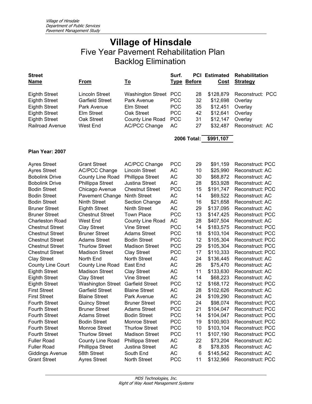| <b>Street</b><br><b>Name</b> | <u>From</u>              | <u>To</u>                | Surf.      | <b>Type Before</b> | <b>PCI</b> Estimated<br>Cost | Rehabilitation<br><b>Strategy</b> |
|------------------------------|--------------------------|--------------------------|------------|--------------------|------------------------------|-----------------------------------|
| <b>Eighth Street</b>         | Lincoln Street           | <b>Washington Street</b> | <b>PCC</b> | 28                 | \$128,879                    | Reconstruct: PCC                  |
| <b>Eighth Street</b>         | <b>Garfield Street</b>   | Park Avenue              | <b>PCC</b> | 32                 | \$12,698                     | Overlay                           |
| <b>Eighth Street</b>         | Park Avenue              | <b>Elm Street</b>        | <b>PCC</b> | 35                 | \$12,451                     | Overlay                           |
| <b>Eighth Street</b>         | Elm Street               | Oak Street               | <b>PCC</b> | 42                 | \$12,641                     | Overlay                           |
| <b>Eighth Street</b>         | Oak Street               | County Line Road         | <b>PCC</b> | 31                 | \$12,147                     | Overlay                           |
| Railroad Avenue              | <b>West End</b>          | <b>AC/PCC Change</b>     | AC         | 27                 | \$32,487                     | Reconstruct: AC                   |
|                              |                          |                          |            | <b>2006 Total:</b> | \$991,107                    |                                   |
| Plan Year: 2007              |                          |                          |            |                    |                              |                                   |
| <b>Ayres Street</b>          | <b>Grant Street</b>      | <b>AC/PCC Change</b>     | <b>PCC</b> | 29                 | \$91,159                     | Reconstruct: PCC                  |
| <b>Ayres Street</b>          | <b>AC/PCC Change</b>     | <b>Lincoln Street</b>    | <b>AC</b>  | 10                 | \$25,990                     | Reconstruct: AC                   |
| <b>Bobolink Drive</b>        | County Line Road         | Phillippa Street         | AC         | 30                 | \$68,872                     | Reconstruct: AC                   |
| <b>Bobolink Drive</b>        | Phillippa Street         | <b>Justina Street</b>    | AC         | 28                 | \$53,928                     | Reconstruct: AC                   |
| <b>Bodin Street</b>          | Chicago Avenue           | <b>Chestnut Street</b>   | <b>PCC</b> | 15                 | \$191,747                    | Reconstruct: PCC                  |
| <b>Bodin Street</b>          | <b>Pavement Change</b>   | <b>Ninth Street</b>      | AC         | 14                 | \$69,522                     | Reconstruct: AC                   |
| <b>Bodin Street</b>          | <b>Ninth Street</b>      | <b>Section Change</b>    | <b>AC</b>  | 16                 | \$21,658                     | Reconstruct: AC                   |
| <b>Bruner Street</b>         | <b>Eighth Street</b>     | <b>Ninth Street</b>      | <b>AC</b>  | 29                 | \$137,095                    | Reconstruct: AC                   |
| <b>Bruner Street</b>         | <b>Chestnut Street</b>   | <b>Town Place</b>        | <b>PCC</b> | 13                 | \$147,425                    | Reconstruct: PCC                  |
| <b>Charleston Road</b>       | <b>West End</b>          | County Line Road         | AC         | 28                 | \$407,504                    | Reconstruct: AC                   |
| <b>Chestnut Street</b>       | <b>Clay Street</b>       | <b>Vine Street</b>       | <b>PCC</b> | 14                 | \$183,575                    | Reconstruct: PCC                  |
| <b>Chestnut Street</b>       | <b>Bruner Street</b>     | <b>Adams Street</b>      | <b>PCC</b> | 18                 | \$103,104                    | Reconstruct: PCC                  |
| <b>Chestnut Street</b>       | <b>Adams Street</b>      | <b>Bodin Street</b>      | <b>PCC</b> | 12                 | \$105,304                    | Reconstruct: PCC                  |
| <b>Chestnut Street</b>       | <b>Thurlow Street</b>    | <b>Madison Street</b>    | <b>PCC</b> | 29                 | \$105,304                    | Reconstruct: PCC                  |
| <b>Chestnut Street</b>       | <b>Madison Street</b>    | <b>Clay Street</b>       | <b>PCC</b> | 17                 | \$110,333                    | Reconstruct: PCC                  |
| <b>Clay Street</b>           | North End                | <b>North Street</b>      | AC         | 24                 | \$136,445                    | Reconstruct: AC                   |
| <b>County Line Court</b>     | County Line Road         | East End                 | AC         | 26                 | \$75,470                     | Reconstruct: AC                   |
| <b>Eighth Street</b>         | <b>Madison Street</b>    | <b>Clay Street</b>       | AC         | 11                 | \$133,630                    | Reconstruct: AC                   |
| <b>Eighth Street</b>         | <b>Clay Street</b>       | Vine Street              | AC         | 14                 | \$68,223                     | Reconstruct: AC                   |
| <b>Eighth Street</b>         | <b>Washington Street</b> | <b>Garfield Street</b>   | <b>PCC</b> | 12                 | \$168,172                    | Reconstruct: PCC                  |
| <b>First Street</b>          | <b>Garfield Street</b>   | <b>Blaine Street</b>     | AC         | 28                 | \$102,626                    | Reconstruct: AC                   |
| <b>First Street</b>          | <b>Blaine Street</b>     | Park Avenue              | AC         | 24                 | \$109,290                    | Reconstruct: AC                   |
| <b>Fourth Street</b>         | <b>Quincy Street</b>     | <b>Bruner Street</b>     | PCC        | 24                 | \$98,074                     | Reconstruct: PCC                  |
| <b>Fourth Street</b>         | <b>Bruner Street</b>     | <b>Adams Street</b>      | <b>PCC</b> | 21                 | \$104,047                    | Reconstruct: PCC                  |
| <b>Fourth Street</b>         | <b>Adams Street</b>      | <b>Bodin Street</b>      | <b>PCC</b> | 14                 | \$104,047                    | Reconstruct: PCC                  |
| <b>Fourth Street</b>         | <b>Bodin Street</b>      | <b>Monroe Street</b>     | <b>PCC</b> | 19                 | \$100,903                    | Reconstruct: PCC                  |
| <b>Fourth Street</b>         | <b>Monroe Street</b>     | <b>Thurlow Street</b>    | <b>PCC</b> | 10                 | \$103,104                    | Reconstruct: PCC                  |
| <b>Fourth Street</b>         | <b>Thurlow Street</b>    | <b>Madison Street</b>    | <b>PCC</b> | 11                 | \$107,190                    | Reconstruct: PCC                  |
| <b>Fuller Road</b>           | County Line Road         | Phillippa Street         | AC         | 22                 | \$73,204                     | Reconstruct: AC                   |
| <b>Fuller Road</b>           | Phillippa Street         | Justina Street           | AC         | 8                  | \$78,835                     | Reconstruct: AC                   |
| <b>Giddings Avenue</b>       | 58th Street              | South End                | AC         | 6                  | \$145,542                    | Reconstruct: AC                   |
| <b>Grant Street</b>          | <b>Ayres Street</b>      | North Street             | <b>PCC</b> | 11                 | \$132,966                    | Reconstruct: PCC                  |
|                              |                          |                          |            |                    |                              |                                   |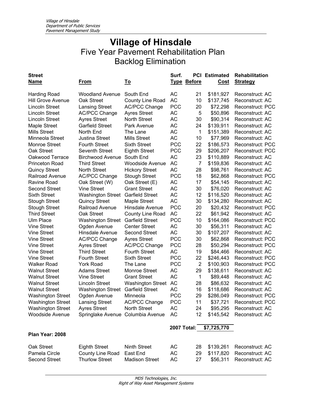| <b>Street</b>            |                                   |                          | Surf.              |                    | <b>PCI Estimated</b> | Rehabilitation          |
|--------------------------|-----------------------------------|--------------------------|--------------------|--------------------|----------------------|-------------------------|
| <b>Name</b>              | From                              | <u>To</u>                |                    | <b>Type Before</b> | Cost                 | <b>Strategy</b>         |
|                          |                                   |                          |                    |                    |                      |                         |
| <b>Harding Road</b>      | <b>Woodland Avenue</b>            | South End                | AC                 | 21                 | \$181,927            | Reconstruct: AC         |
| <b>Hill Grove Avenue</b> | Oak Street                        | County Line Road         | <b>AC</b>          | 10                 | \$137,745            | Reconstruct: AC         |
| <b>Lincoln Street</b>    | <b>Lansing Street</b>             | <b>AC/PCC Change</b>     | <b>PCC</b>         | 20                 | \$72,298             | Reconstruct: PCC        |
| <b>Lincoln Street</b>    | <b>AC/PCC Change</b>              | <b>Ayres Street</b>      | <b>AC</b>          | 5                  | \$50,896             | Reconstruct: AC         |
| <b>Lincoln Street</b>    | <b>Ayres Street</b>               | <b>North Street</b>      | AC                 | 30                 | \$90,314             | Reconstruct: AC         |
| Maple Street             | <b>Garfield Street</b>            | Park Avenue              | AC                 | 24                 | \$139,911            | Reconstruct: AC         |
| <b>Mills Street</b>      | North End                         | The Lane                 | <b>AC</b>          | $\mathbf{1}$       | \$151,389            | Reconstruct: AC         |
| Minneola Street          | <b>Justina Street</b>             | <b>Mills Street</b>      | <b>AC</b>          | 10                 | \$77,969             | Reconstruct: AC         |
| <b>Monroe Street</b>     | <b>Fourth Street</b>              | <b>Sixth Street</b>      | <b>PCC</b>         | 22                 | \$186,573            | <b>Reconstruct: PCC</b> |
| Oak Street               | Seventh Street                    | <b>Eighth Street</b>     | <b>PCC</b>         | 29                 | \$206,207            | Reconstruct: PCC        |
| Oakwood Terrace          | <b>Birchwood Avenue</b>           | South End                | <b>AC</b>          | 23                 | \$110,889            | Reconstruct: AC         |
| Princeton Road           | <b>Third Street</b>               | Woodside Avenue          | <b>AC</b>          | 7                  | \$159,836            | Reconstruct: AC         |
| <b>Quincy Street</b>     | <b>North Street</b>               | <b>Hickory Street</b>    | <b>AC</b>          | 28                 | \$98,761             | Reconstruct: AC         |
| <b>Railroad Avenue</b>   | <b>AC/PCC Change</b>              | <b>Stough Street</b>     | <b>PCC</b>         | 18                 | \$62,868             | <b>Reconstruct: PCC</b> |
| Ravine Road              | Oak Street (W)                    | Oak Street (E)           | AC                 | 17                 | \$54,145             | Reconstruct: AC         |
| <b>Second Street</b>     | <b>Vine Street</b>                | <b>Grant Street</b>      | <b>AC</b>          | 30                 | \$76,020             | Reconstruct: AC         |
| <b>Sixth Street</b>      | <b>Washington Street</b>          | <b>Garfield Street</b>   | <b>AC</b>          | 12                 | \$116,520            | Reconstruct: AC         |
| <b>Stough Street</b>     | <b>Quincy Street</b>              | Maple Street             | <b>AC</b>          | 30                 | \$134,280            | Reconstruct: AC         |
| <b>Stough Street</b>     | Railroad Avenue                   | Hinsdale Avenue          | <b>PCC</b>         | 20                 | \$20,432             | Reconstruct: PCC        |
| <b>Third Street</b>      | Oak Street                        | County Line Road         | <b>AC</b>          | 22                 | \$61,942             | Reconstruct: AC         |
| <b>Ulm Place</b>         | <b>Washington Street</b>          | <b>Garfield Street</b>   | <b>PCC</b>         | 10                 | \$164,086            | <b>Reconstruct: PCC</b> |
| <b>Vine Street</b>       | Ogden Avenue                      | <b>Center Street</b>     | AC                 | 30                 | \$56,311             | Reconstruct: AC         |
| <b>Vine Street</b>       | Hinsdale Avenue                   | <b>Second Street</b>     | <b>AC</b>          | 30                 | \$107,207            | Reconstruct: AC         |
| <b>Vine Street</b>       | <b>AC/PCC Change</b>              | <b>Ayres Street</b>      | <b>PCC</b>         | 30                 | \$62,868             | Reconstruct: PCC        |
| <b>Vine Street</b>       | <b>Ayres Street</b>               | <b>AC/PCC Change</b>     | <b>PCC</b>         | 28                 | \$50,294             | Reconstruct: PCC        |
| <b>Vine Street</b>       | <b>Third Street</b>               | <b>Fourth Street</b>     | AC                 | 19                 | \$84,466             | Reconstruct: AC         |
| <b>Vine Street</b>       | <b>Fourth Street</b>              | <b>Sixth Street</b>      | <b>PCC</b>         | 22                 | \$246,443            | Reconstruct: PCC        |
| <b>Walker Road</b>       | <b>York Road</b>                  | The Lane                 | <b>PCC</b>         | $\overline{2}$     | \$100,903            | Reconstruct: PCC        |
| <b>Walnut Street</b>     | <b>Adams Street</b>               | Monroe Street            | <b>AC</b>          | 29                 | \$138,611            | Reconstruct: AC         |
| <b>Walnut Street</b>     | <b>Vine Street</b>                | <b>Grant Street</b>      | <b>AC</b>          | 1                  | \$89,448             | Reconstruct: AC         |
| <b>Walnut Street</b>     | <b>Lincoln Street</b>             | <b>Washington Street</b> | <b>AC</b>          | 28                 | \$86,632             | Reconstruct: AC         |
| <b>Walnut Street</b>     | Washington Street                 | <b>Garfield Street</b>   | <b>AC</b>          | 16                 | \$118,686            | Reconstruct: AC         |
| <b>Washington Street</b> | Ogden Avenue                      | Minneola                 | <b>PCC</b>         | 29                 | \$286,049            | <b>Reconstruct: PCC</b> |
| <b>Washington Street</b> | <b>Lansing Street</b>             | <b>AC/PCC Change</b>     | <b>PCC</b>         | 11                 | \$37,721             | Reconstruct: PCC        |
| <b>Washington Street</b> | <b>Ayres Street</b>               | North Street             | AC                 | 24                 | \$95,295             | Reconstruct: AC         |
| <b>Woodside Avenue</b>   | Springlake Avenue Columbia Avenue |                          | AC                 | 12                 | \$145,542            | Reconstruct: AC         |
|                          |                                   |                          |                    |                    |                      |                         |
|                          |                                   |                          | <b>2007 Total:</b> |                    | \$7,725,770          |                         |
| Plan Year: 2008          |                                   |                          |                    |                    |                      |                         |
| Oak Street               | <b>Eighth Street</b>              | <b>Ninth Street</b>      | AC                 | 28                 | \$139,261            | Reconstruct: AC         |
| Pamela Circle            | County Line Road                  | East End                 | <b>AC</b>          | 29                 | \$117,820            | Reconstruct: AC         |
| <b>Second Street</b>     | <b>Thurlow Street</b>             | <b>Madison Street</b>    | <b>AC</b>          | 27                 | \$56,311             | Reconstruct: AC         |
|                          |                                   |                          |                    |                    |                      |                         |